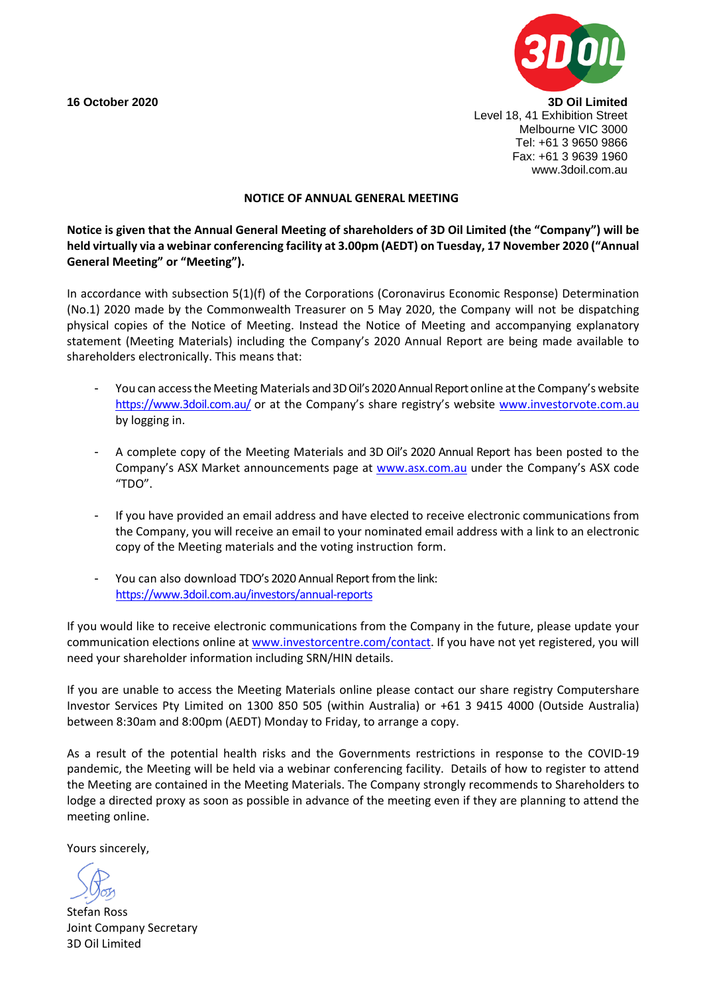

**16 October 2020 3D Oil Limited** Level 18, 41 Exhibition Street Melbourne VIC 3000 Tel: +61 3 9650 9866 Fax: +61 3 9639 1960 www.3doil.com.au

#### **NOTICE OF ANNUAL GENERAL MEETING**

**Notice is given that the Annual General Meeting of shareholders of 3D Oil Limited (the "Company") will be held virtually via a webinar conferencing facility at 3.00pm (AEDT) on Tuesday, 17 November 2020 ("Annual General Meeting" or "Meeting").**

In accordance with subsection 5(1)(f) of the Corporations (Coronavirus Economic Response) Determination (No.1) 2020 made by the Commonwealth Treasurer on 5 May 2020, the Company will not be dispatching physical copies of the Notice of Meeting. Instead the Notice of Meeting and accompanying explanatory statement (Meeting Materials) including the Company's 2020 Annual Report are being made available to shareholders electronically. This means that:

- You can access the Meeting Materials and 3D Oil's 2020 Annual Report online at the Company's website <https://www.3doil.com.au/> or at the Company's share registry's website [www.investorvote.com.au](http://www.investorvote.com.au/) by logging in.
- A complete copy of the Meeting Materials and 3D Oil's 2020 Annual Report has been posted to the Company's ASX Market announcements page at [www.asx.com.au](http://www.asx.com.au/) under the Company's ASX code "TDO".
- If you have provided an email address and have elected to receive electronic communications from the Company, you will receive an email to your nominated email address with a link to an electronic copy of the Meeting materials and the voting instruction form.
- You can also download TDO's 2020 Annual Report from the link: <https://www.3doil.com.au/investors/annual-reports>

If you would like to receive electronic communications from the Company in the future, please update your communication elections online at [www.investorcentre.com/contact.](http://www.investorcentre.com/contact) If you have not yet registered, you will need your shareholder information including SRN/HIN details.

If you are unable to access the Meeting Materials online please contact our share registry Computershare Investor Services Pty Limited on 1300 850 505 (within Australia) or +61 3 9415 4000 (Outside Australia) between 8:30am and 8:00pm (AEDT) Monday to Friday, to arrange a copy.

As a result of the potential health risks and the Governments restrictions in response to the COVID-19 pandemic, the Meeting will be held via a webinar conferencing facility. Details of how to register to attend the Meeting are contained in the Meeting Materials. The Company strongly recommends to Shareholders to lodge a directed proxy as soon as possible in advance of the meeting even if they are planning to attend the meeting online.

Yours sincerely,

Stefan Ross Joint Company Secretary 3D Oil Limited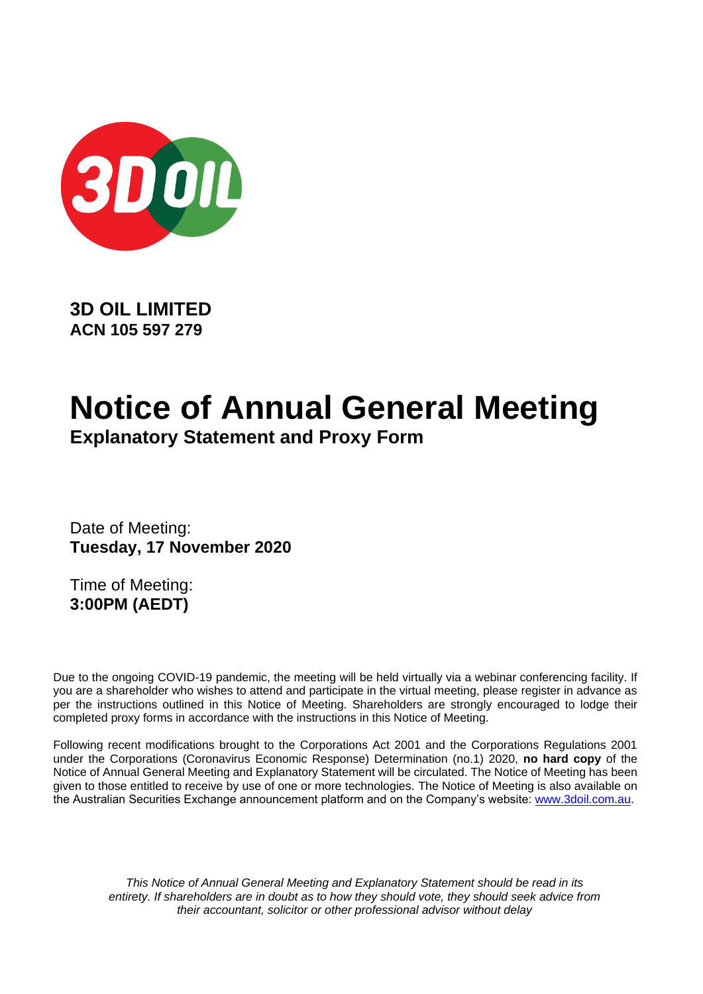

**3D OIL LIMITED ACN 105 597 279**

# **Notice of Annual General Meeting**

**Explanatory Statement and Proxy Form**

Date of Meeting: **Tuesday, 17 November 2020**

Time of Meeting: **3:00PM (AEDT)**

Due to the ongoing COVID-19 pandemic, the meeting will be held virtually via a webinar conferencing facility. If you are a shareholder who wishes to attend and participate in the virtual meeting, please register in advance as per the instructions outlined in this Notice of Meeting. Shareholders are strongly encouraged to lodge their completed proxy forms in accordance with the instructions in this Notice of Meeting.

Following recent modifications brought to the Corporations Act 2001 and the Corporations Regulations 2001 under the Corporations (Coronavirus Economic Response) Determination (no.1) 2020, **no hard copy** of the Notice of Annual General Meeting and Explanatory Statement will be circulated. The Notice of Meeting has been given to those entitled to receive by use of one or more technologies. The Notice of Meeting is also available on the Australian Securities Exchange announcement platform and on the Company's website: [www.3doil.com.au.](http://www.3doil.com.au/)

*This Notice of Annual General Meeting and Explanatory Statement should be read in its entirety. If shareholders are in doubt as to how they should vote, they should seek advice from their accountant, solicitor or other professional advisor without delay*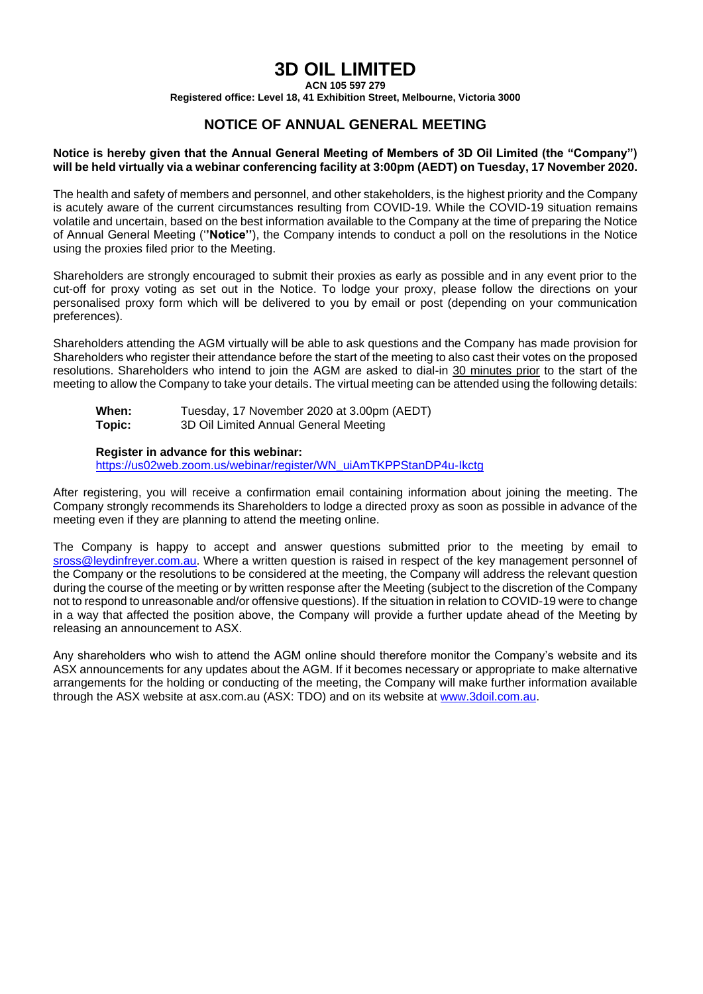### **3D OIL LIMITED**

**ACN 105 597 279**

**Registered office: Level 18, 41 Exhibition Street, Melbourne, Victoria 3000**

#### **NOTICE OF ANNUAL GENERAL MEETING**

#### **Notice is hereby given that the Annual General Meeting of Members of 3D Oil Limited (the "Company") will be held virtually via a webinar conferencing facility at 3:00pm (AEDT) on Tuesday, 17 November 2020.**

The health and safety of members and personnel, and other stakeholders, is the highest priority and the Company is acutely aware of the current circumstances resulting from COVID-19. While the COVID-19 situation remains volatile and uncertain, based on the best information available to the Company at the time of preparing the Notice of Annual General Meeting ('**'Notice''**), the Company intends to conduct a poll on the resolutions in the Notice using the proxies filed prior to the Meeting.

Shareholders are strongly encouraged to submit their proxies as early as possible and in any event prior to the cut-off for proxy voting as set out in the Notice. To lodge your proxy, please follow the directions on your personalised proxy form which will be delivered to you by email or post (depending on your communication preferences).

Shareholders attending the AGM virtually will be able to ask questions and the Company has made provision for Shareholders who register their attendance before the start of the meeting to also cast their votes on the proposed resolutions. Shareholders who intend to join the AGM are asked to dial-in 30 minutes prior to the start of the meeting to allow the Company to take your details. The virtual meeting can be attended using the following details:

| When:  | Tuesday, 17 November 2020 at 3.00pm (AEDT) |
|--------|--------------------------------------------|
| Topic: | 3D Oil Limited Annual General Meeting      |

#### **Register in advance for this webinar:**

[https://us02web.zoom.us/webinar/register/WN\\_uiAmTKPPStanDP4u-Ikctg](https://us02web.zoom.us/webinar/register/WN_uiAmTKPPStanDP4u-Ikctg)

After registering, you will receive a confirmation email containing information about joining the meeting. The Company strongly recommends its Shareholders to lodge a directed proxy as soon as possible in advance of the meeting even if they are planning to attend the meeting online.

The Company is happy to accept and answer questions submitted prior to the meeting by email to [sross@leydinfreyer.com.au.](mailto:sross@leydinfreyer.com.au) Where a written question is raised in respect of the key management personnel of the Company or the resolutions to be considered at the meeting, the Company will address the relevant question during the course of the meeting or by written response after the Meeting (subject to the discretion of the Company not to respond to unreasonable and/or offensive questions). If the situation in relation to COVID-19 were to change in a way that affected the position above, the Company will provide a further update ahead of the Meeting by releasing an announcement to ASX.

Any shareholders who wish to attend the AGM online should therefore monitor the Company's website and its ASX announcements for any updates about the AGM. If it becomes necessary or appropriate to make alternative arrangements for the holding or conducting of the meeting, the Company will make further information available through the ASX website at asx.com.au (ASX: TDO) and on its website at [www.3doil.com.au.](http://www.3doil.com.au/)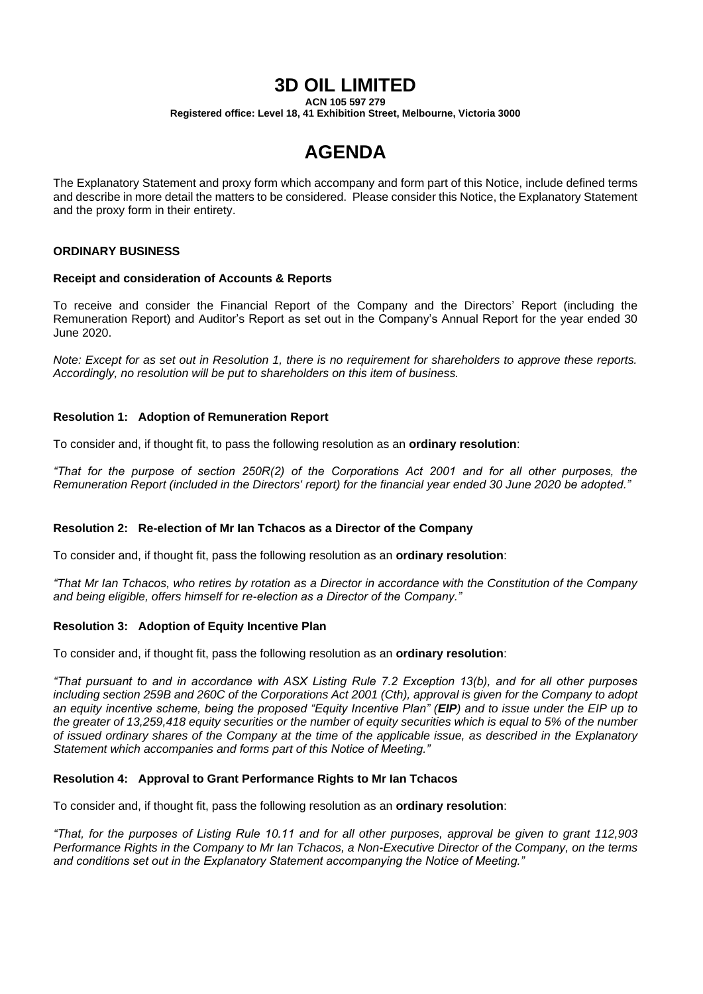### **3D OIL LIMITED**

**ACN 105 597 279**

**Registered office: Level 18, 41 Exhibition Street, Melbourne, Victoria 3000**

## **AGENDA**

The Explanatory Statement and proxy form which accompany and form part of this Notice, include defined terms and describe in more detail the matters to be considered. Please consider this Notice, the Explanatory Statement and the proxy form in their entirety.

#### **ORDINARY BUSINESS**

#### **Receipt and consideration of Accounts & Reports**

To receive and consider the Financial Report of the Company and the Directors' Report (including the Remuneration Report) and Auditor's Report as set out in the Company's Annual Report for the year ended 30 June 2020.

*Note: Except for as set out in Resolution 1, there is no requirement for shareholders to approve these reports. Accordingly, no resolution will be put to shareholders on this item of business.*

#### **Resolution 1: Adoption of Remuneration Report**

To consider and, if thought fit, to pass the following resolution as an **ordinary resolution**:

*"That for the purpose of section 250R(2) of the Corporations Act 2001 and for all other purposes, the Remuneration Report (included in the Directors' report) for the financial year ended 30 June 2020 be adopted."*

#### **Resolution 2: Re-election of Mr Ian Tchacos as a Director of the Company**

To consider and, if thought fit, pass the following resolution as an **ordinary resolution**:

*"That Mr Ian Tchacos, who retires by rotation as a Director in accordance with the Constitution of the Company and being eligible, offers himself for re-election as a Director of the Company."*

#### **Resolution 3: Adoption of Equity Incentive Plan**

To consider and, if thought fit, pass the following resolution as an **ordinary resolution**:

*"That pursuant to and in accordance with ASX Listing Rule 7.2 Exception 13(b), and for all other purposes including section 259B and 260C of the Corporations Act 2001 (Cth), approval is given for the Company to adopt an equity incentive scheme, being the proposed "Equity Incentive Plan" (EIP) and to issue under the EIP up to the greater of 13,259,418 equity securities or the number of equity securities which is equal to 5% of the number of issued ordinary shares of the Company at the time of the applicable issue, as described in the Explanatory Statement which accompanies and forms part of this Notice of Meeting."*

#### **Resolution 4: Approval to Grant Performance Rights to Mr Ian Tchacos**

To consider and, if thought fit, pass the following resolution as an **ordinary resolution**:

*"That, for the purposes of Listing Rule 10.11 and for all other purposes, approval be given to grant 112,903 Performance Rights in the Company to Mr Ian Tchacos, a Non-Executive Director of the Company, on the terms and conditions set out in the Explanatory Statement accompanying the Notice of Meeting."*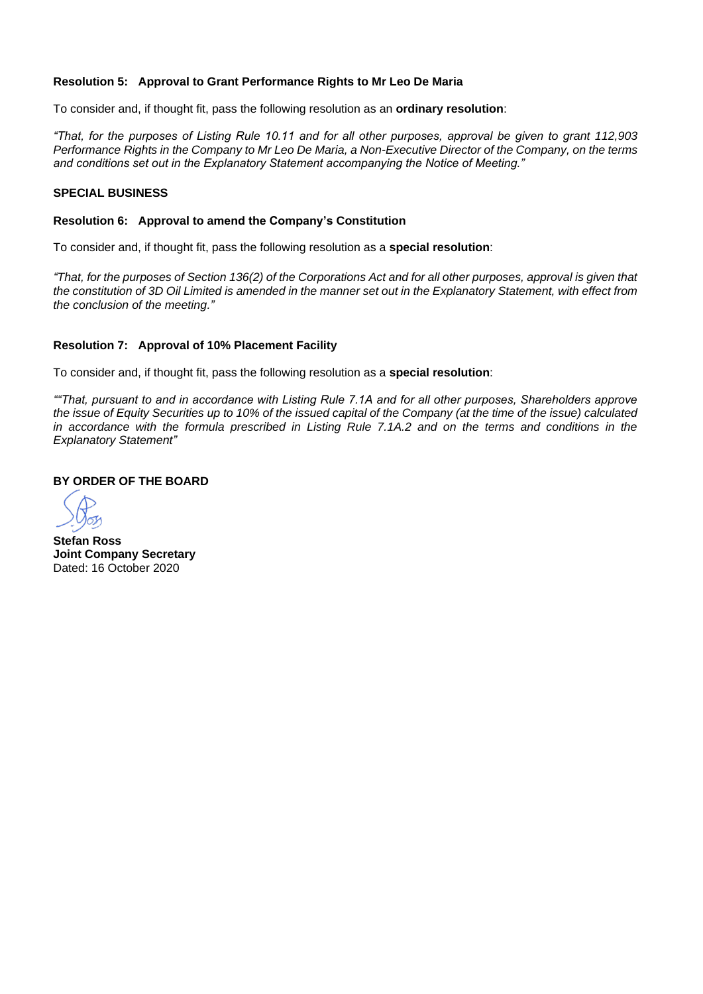#### **Resolution 5: Approval to Grant Performance Rights to Mr Leo De Maria**

To consider and, if thought fit, pass the following resolution as an **ordinary resolution**:

*"That, for the purposes of Listing Rule 10.11 and for all other purposes, approval be given to grant 112,903 Performance Rights in the Company to Mr Leo De Maria, a Non-Executive Director of the Company, on the terms and conditions set out in the Explanatory Statement accompanying the Notice of Meeting."*

#### **SPECIAL BUSINESS**

#### **Resolution 6: Approval to amend the Company's Constitution**

To consider and, if thought fit, pass the following resolution as a **special resolution**:

*"That, for the purposes of Section 136(2) of the Corporations Act and for all other purposes, approval is given that the constitution of 3D Oil Limited is amended in the manner set out in the Explanatory Statement, with effect from the conclusion of the meeting."* 

#### **Resolution 7: Approval of 10% Placement Facility**

To consider and, if thought fit, pass the following resolution as a **special resolution**:

*""That, pursuant to and in accordance with Listing Rule 7.1A and for all other purposes, Shareholders approve the issue of Equity Securities up to 10% of the issued capital of the Company (at the time of the issue) calculated in accordance with the formula prescribed in Listing Rule 7.1A.2 and on the terms and conditions in the Explanatory Statement"*

#### **BY ORDER OF THE BOARD**

**Stefan Ross Joint Company Secretary** Dated: 16 October 2020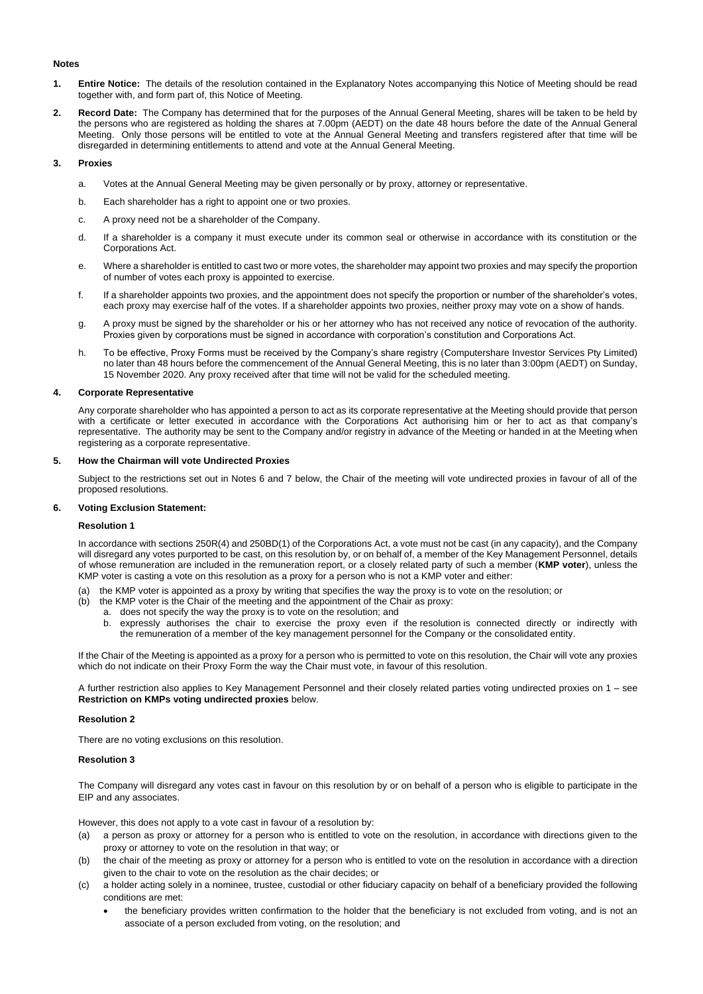#### **Notes**

- **1. Entire Notice:** The details of the resolution contained in the Explanatory Notes accompanying this Notice of Meeting should be read together with, and form part of, this Notice of Meeting.
- **2. Record Date:** The Company has determined that for the purposes of the Annual General Meeting, shares will be taken to be held by the persons who are registered as holding the shares at 7.00pm (AEDT) on the date 48 hours before the date of the Annual General Meeting. Only those persons will be entitled to vote at the Annual General Meeting and transfers registered after that time will be disregarded in determining entitlements to attend and vote at the Annual General Meeting.

#### **3. Proxies**

- a. Votes at the Annual General Meeting may be given personally or by proxy, attorney or representative.
- b. Each shareholder has a right to appoint one or two proxies.
- c. A proxy need not be a shareholder of the Company.
- d. If a shareholder is a company it must execute under its common seal or otherwise in accordance with its constitution or the Corporations Act.
- e. Where a shareholder is entitled to cast two or more votes, the shareholder may appoint two proxies and may specify the proportion of number of votes each proxy is appointed to exercise.
- f. If a shareholder appoints two proxies, and the appointment does not specify the proportion or number of the shareholder's votes, each proxy may exercise half of the votes. If a shareholder appoints two proxies, neither proxy may vote on a show of hands.
- g. A proxy must be signed by the shareholder or his or her attorney who has not received any notice of revocation of the authority. Proxies given by corporations must be signed in accordance with corporation's constitution and Corporations Act.
- h. To be effective, Proxy Forms must be received by the Company's share registry (Computershare Investor Services Pty Limited) no later than 48 hours before the commencement of the Annual General Meeting, this is no later than 3:00pm (AEDT) on Sunday, 15 November 2020. Any proxy received after that time will not be valid for the scheduled meeting.

#### **4. Corporate Representative**

Any corporate shareholder who has appointed a person to act as its corporate representative at the Meeting should provide that person with a certificate or letter executed in accordance with the Corporations Act authorising him or her to act as that company's representative. The authority may be sent to the Company and/or registry in advance of the Meeting or handed in at the Meeting when registering as a corporate representative.

#### **5. How the Chairman will vote Undirected Proxies**

Subject to the restrictions set out in Notes 6 and 7 below, the Chair of the meeting will vote undirected proxies in favour of all of the proposed resolutions.

#### **6. Voting Exclusion Statement:**

#### **Resolution 1**

In accordance with sections 250R(4) and 250BD(1) of the Corporations Act, a vote must not be cast (in any capacity), and the Company will disregard any votes purported to be cast, on this resolution by, or on behalf of, a member of the Key Management Personnel, details of whose remuneration are included in the remuneration report, or a closely related party of such a member (**KMP voter**), unless the KMP voter is casting a vote on this resolution as a proxy for a person who is not a KMP voter and either:

- (a) the KMP voter is appointed as a proxy by writing that specifies the way the proxy is to vote on the resolution; or
- (b) the KMP voter is the Chair of the meeting and the appointment of the Chair as proxy:
	- a. does not specify the way the proxy is to vote on the resolution; and
	- b. expressly authorises the chair to exercise the proxy even if the resolution is connected directly or indirectly with the remuneration of a member of the key management personnel for the Company or the consolidated entity.

If the Chair of the Meeting is appointed as a proxy for a person who is permitted to vote on this resolution, the Chair will vote any proxies which do not indicate on their Proxy Form the way the Chair must vote, in favour of this resolution.

A further restriction also applies to Key Management Personnel and their closely related parties voting undirected proxies on 1 – see **Restriction on KMPs voting undirected proxies** below.

#### **Resolution 2**

There are no voting exclusions on this resolution.

#### **Resolution 3**

The Company will disregard any votes cast in favour on this resolution by or on behalf of a person who is eligible to participate in the EIP and any associates.

However, this does not apply to a vote cast in favour of a resolution by:

- (a) a person as proxy or attorney for a person who is entitled to vote on the resolution, in accordance with directions given to the proxy or attorney to vote on the resolution in that way; or
- (b) the chair of the meeting as proxy or attorney for a person who is entitled to vote on the resolution in accordance with a direction given to the chair to vote on the resolution as the chair decides; or
- (c) a holder acting solely in a nominee, trustee, custodial or other fiduciary capacity on behalf of a beneficiary provided the following conditions are met:
	- the beneficiary provides written confirmation to the holder that the beneficiary is not excluded from voting, and is not an associate of a person excluded from voting, on the resolution; and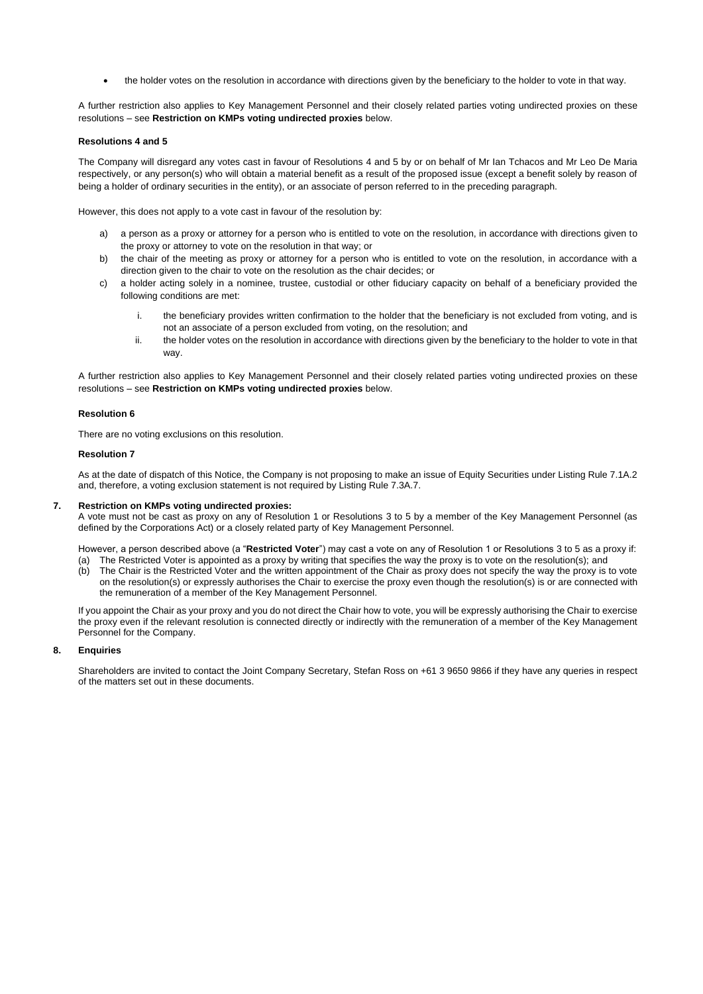• the holder votes on the resolution in accordance with directions given by the beneficiary to the holder to vote in that way.

A further restriction also applies to Key Management Personnel and their closely related parties voting undirected proxies on these resolutions – see **Restriction on KMPs voting undirected proxies** below.

#### **Resolutions 4 and 5**

The Company will disregard any votes cast in favour of Resolutions 4 and 5 by or on behalf of Mr Ian Tchacos and Mr Leo De Maria respectively, or any person(s) who will obtain a material benefit as a result of the proposed issue (except a benefit solely by reason of being a holder of ordinary securities in the entity), or an associate of person referred to in the preceding paragraph.

However, this does not apply to a vote cast in favour of the resolution by:

- a) a person as a proxy or attorney for a person who is entitled to vote on the resolution, in accordance with directions given to the proxy or attorney to vote on the resolution in that way; or
- b) the chair of the meeting as proxy or attorney for a person who is entitled to vote on the resolution, in accordance with a direction given to the chair to vote on the resolution as the chair decides; or
- c) a holder acting solely in a nominee, trustee, custodial or other fiduciary capacity on behalf of a beneficiary provided the following conditions are met:
	- i. the beneficiary provides written confirmation to the holder that the beneficiary is not excluded from voting, and is not an associate of a person excluded from voting, on the resolution; and
	- ii. the holder votes on the resolution in accordance with directions given by the beneficiary to the holder to vote in that way.

A further restriction also applies to Key Management Personnel and their closely related parties voting undirected proxies on these resolutions – see **Restriction on KMPs voting undirected proxies** below.

#### **Resolution 6**

There are no voting exclusions on this resolution.

#### **Resolution 7**

As at the date of dispatch of this Notice, the Company is not proposing to make an issue of Equity Securities under Listing Rule 7.1A.2 and, therefore, a voting exclusion statement is not required by Listing Rule 7.3A.7.

#### **7. Restriction on KMPs voting undirected proxies:**

A vote must not be cast as proxy on any of Resolution 1 or Resolutions 3 to 5 by a member of the Key Management Personnel (as defined by the Corporations Act) or a closely related party of Key Management Personnel.

However, a person described above (a "**Restricted Voter**") may cast a vote on any of Resolution 1 or Resolutions 3 to 5 as a proxy if: (a) The Restricted Voter is appointed as a proxy by writing that specifies the way the proxy is to vote on the resolution(s); and

(b) The Chair is the Restricted Voter and the written appointment of the Chair as proxy does not specify the way the proxy is to vote on the resolution(s) or expressly authorises the Chair to exercise the proxy even though the resolution(s) is or are connected with the remuneration of a member of the Key Management Personnel.

If you appoint the Chair as your proxy and you do not direct the Chair how to vote, you will be expressly authorising the Chair to exercise the proxy even if the relevant resolution is connected directly or indirectly with the remuneration of a member of the Key Management Personnel for the Company.

#### **8. Enquiries**

Shareholders are invited to contact the Joint Company Secretary, Stefan Ross on +61 3 9650 9866 if they have any queries in respect of the matters set out in these documents.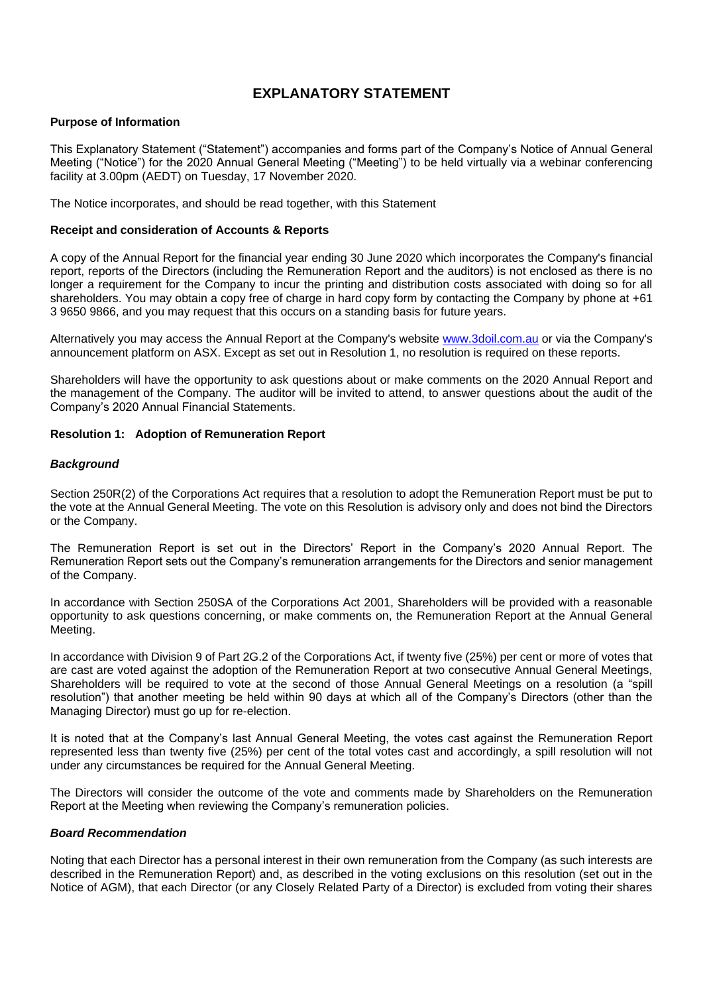#### **EXPLANATORY STATEMENT**

#### **Purpose of Information**

This Explanatory Statement ("Statement") accompanies and forms part of the Company's Notice of Annual General Meeting ("Notice") for the 2020 Annual General Meeting ("Meeting") to be held virtually via a webinar conferencing facility at 3.00pm (AEDT) on Tuesday, 17 November 2020.

The Notice incorporates, and should be read together, with this Statement

#### **Receipt and consideration of Accounts & Reports**

A copy of the Annual Report for the financial year ending 30 June 2020 which incorporates the Company's financial report, reports of the Directors (including the Remuneration Report and the auditors) is not enclosed as there is no longer a requirement for the Company to incur the printing and distribution costs associated with doing so for all shareholders. You may obtain a copy free of charge in hard copy form by contacting the Company by phone at +61 3 9650 9866, and you may request that this occurs on a standing basis for future years.

Alternatively you may access the Annual Report at the Company's website [www.3doil.com.au](http://www.3doil.com.au/) or via the Company's announcement platform on ASX. Except as set out in Resolution 1, no resolution is required on these reports.

Shareholders will have the opportunity to ask questions about or make comments on the 2020 Annual Report and the management of the Company. The auditor will be invited to attend, to answer questions about the audit of the Company's 2020 Annual Financial Statements.

#### **Resolution 1: Adoption of Remuneration Report**

#### *Background*

Section 250R(2) of the Corporations Act requires that a resolution to adopt the Remuneration Report must be put to the vote at the Annual General Meeting. The vote on this Resolution is advisory only and does not bind the Directors or the Company.

The Remuneration Report is set out in the Directors' Report in the Company's 2020 Annual Report. The Remuneration Report sets out the Company's remuneration arrangements for the Directors and senior management of the Company.

In accordance with Section 250SA of the Corporations Act 2001, Shareholders will be provided with a reasonable opportunity to ask questions concerning, or make comments on, the Remuneration Report at the Annual General Meeting.

In accordance with Division 9 of Part 2G.2 of the Corporations Act, if twenty five (25%) per cent or more of votes that are cast are voted against the adoption of the Remuneration Report at two consecutive Annual General Meetings, Shareholders will be required to vote at the second of those Annual General Meetings on a resolution (a "spill resolution") that another meeting be held within 90 days at which all of the Company's Directors (other than the Managing Director) must go up for re-election.

It is noted that at the Company's last Annual General Meeting, the votes cast against the Remuneration Report represented less than twenty five (25%) per cent of the total votes cast and accordingly, a spill resolution will not under any circumstances be required for the Annual General Meeting.

The Directors will consider the outcome of the vote and comments made by Shareholders on the Remuneration Report at the Meeting when reviewing the Company's remuneration policies.

#### *Board Recommendation*

Noting that each Director has a personal interest in their own remuneration from the Company (as such interests are described in the Remuneration Report) and, as described in the voting exclusions on this resolution (set out in the Notice of AGM), that each Director (or any Closely Related Party of a Director) is excluded from voting their shares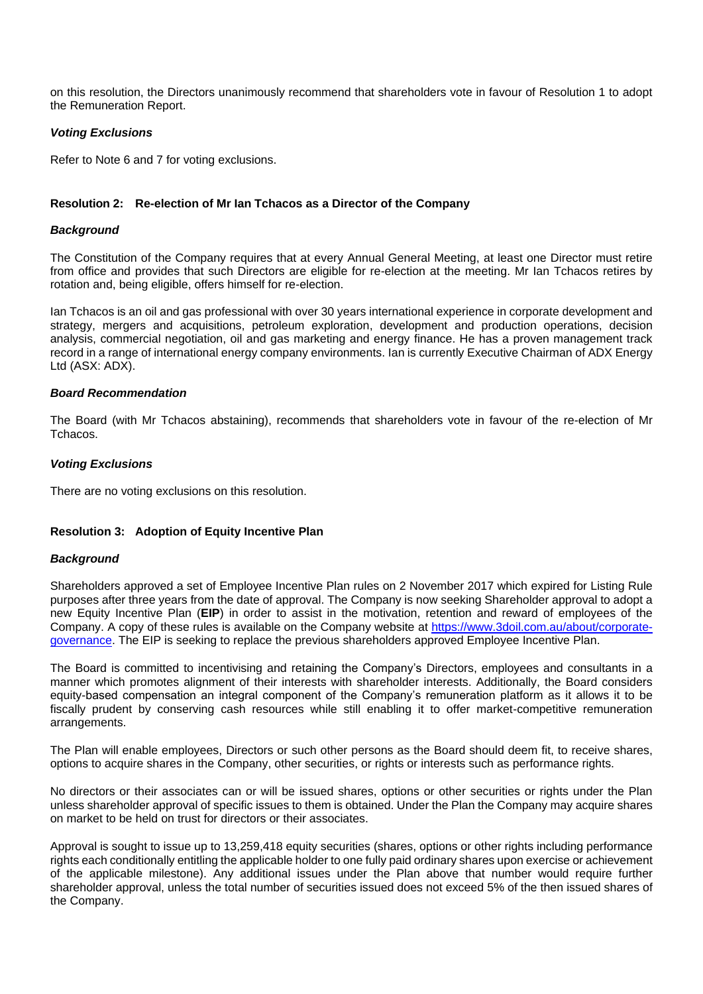on this resolution, the Directors unanimously recommend that shareholders vote in favour of Resolution 1 to adopt the Remuneration Report.

#### *Voting Exclusions*

Refer to Note 6 and 7 for voting exclusions.

#### **Resolution 2: Re-election of Mr Ian Tchacos as a Director of the Company**

#### *Background*

The Constitution of the Company requires that at every Annual General Meeting, at least one Director must retire from office and provides that such Directors are eligible for re-election at the meeting. Mr Ian Tchacos retires by rotation and, being eligible, offers himself for re-election.

Ian Tchacos is an oil and gas professional with over 30 years international experience in corporate development and strategy, mergers and acquisitions, petroleum exploration, development and production operations, decision analysis, commercial negotiation, oil and gas marketing and energy finance. He has a proven management track record in a range of international energy company environments. Ian is currently Executive Chairman of ADX Energy Ltd (ASX: ADX).

#### *Board Recommendation*

The Board (with Mr Tchacos abstaining), recommends that shareholders vote in favour of the re-election of Mr Tchacos.

#### *Voting Exclusions*

There are no voting exclusions on this resolution.

#### **Resolution 3: Adoption of Equity Incentive Plan**

#### *Background*

Shareholders approved a set of Employee Incentive Plan rules on 2 November 2017 which expired for Listing Rule purposes after three years from the date of approval. The Company is now seeking Shareholder approval to adopt a new Equity Incentive Plan (**EIP**) in order to assist in the motivation, retention and reward of employees of the Company. A copy of these rules is available on the Company website at [https://www.3doil.com.au/about/corporate](https://www.3doil.com.au/about/corporate-governance)[governance.](https://www.3doil.com.au/about/corporate-governance) The EIP is seeking to replace the previous shareholders approved Employee Incentive Plan.

The Board is committed to incentivising and retaining the Company's Directors, employees and consultants in a manner which promotes alignment of their interests with shareholder interests. Additionally, the Board considers equity-based compensation an integral component of the Company's remuneration platform as it allows it to be fiscally prudent by conserving cash resources while still enabling it to offer market-competitive remuneration arrangements.

The Plan will enable employees, Directors or such other persons as the Board should deem fit, to receive shares, options to acquire shares in the Company, other securities, or rights or interests such as performance rights.

No directors or their associates can or will be issued shares, options or other securities or rights under the Plan unless shareholder approval of specific issues to them is obtained. Under the Plan the Company may acquire shares on market to be held on trust for directors or their associates.

Approval is sought to issue up to 13,259,418 equity securities (shares, options or other rights including performance rights each conditionally entitling the applicable holder to one fully paid ordinary shares upon exercise or achievement of the applicable milestone). Any additional issues under the Plan above that number would require further shareholder approval, unless the total number of securities issued does not exceed 5% of the then issued shares of the Company.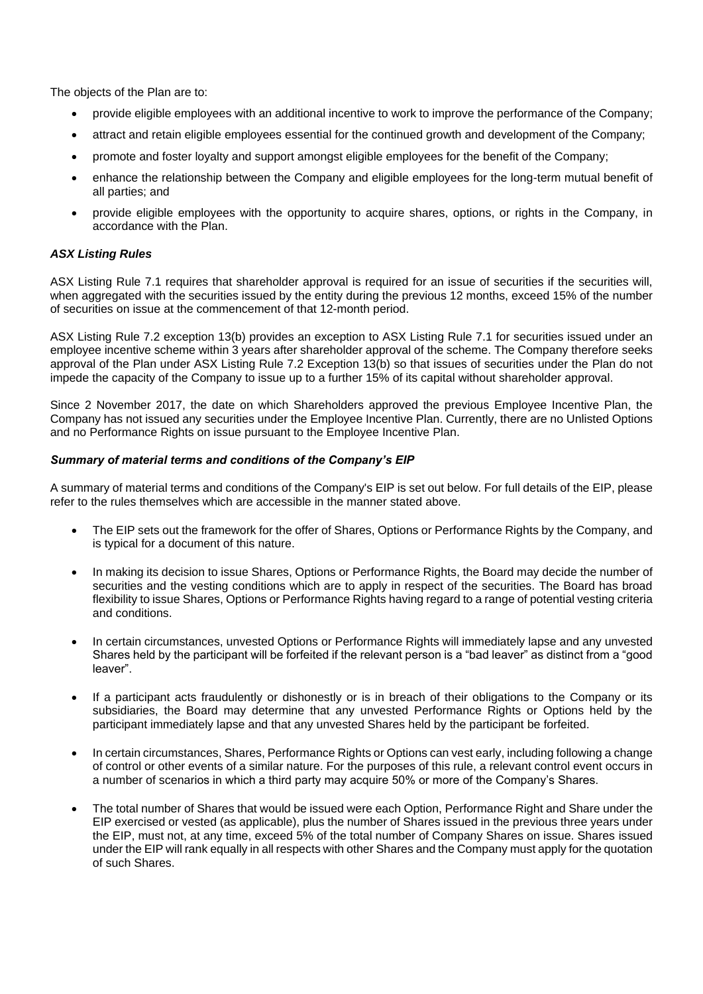The objects of the Plan are to:

- provide eligible employees with an additional incentive to work to improve the performance of the Company;
- attract and retain eligible employees essential for the continued growth and development of the Company;
- promote and foster loyalty and support amongst eligible employees for the benefit of the Company;
- enhance the relationship between the Company and eligible employees for the long-term mutual benefit of all parties; and
- provide eligible employees with the opportunity to acquire shares, options, or rights in the Company, in accordance with the Plan.

#### *ASX Listing Rules*

ASX Listing Rule 7.1 requires that shareholder approval is required for an issue of securities if the securities will, when aggregated with the securities issued by the entity during the previous 12 months, exceed 15% of the number of securities on issue at the commencement of that 12-month period.

ASX Listing Rule 7.2 exception 13(b) provides an exception to ASX Listing Rule 7.1 for securities issued under an employee incentive scheme within 3 years after shareholder approval of the scheme. The Company therefore seeks approval of the Plan under ASX Listing Rule 7.2 Exception 13(b) so that issues of securities under the Plan do not impede the capacity of the Company to issue up to a further 15% of its capital without shareholder approval.

Since 2 November 2017, the date on which Shareholders approved the previous Employee Incentive Plan, the Company has not issued any securities under the Employee Incentive Plan. Currently, there are no Unlisted Options and no Performance Rights on issue pursuant to the Employee Incentive Plan.

#### *Summary of material terms and conditions of the Company's EIP*

A summary of material terms and conditions of the Company's EIP is set out below. For full details of the EIP, please refer to the rules themselves which are accessible in the manner stated above.

- The EIP sets out the framework for the offer of Shares, Options or Performance Rights by the Company, and is typical for a document of this nature.
- In making its decision to issue Shares, Options or Performance Rights, the Board may decide the number of securities and the vesting conditions which are to apply in respect of the securities. The Board has broad flexibility to issue Shares, Options or Performance Rights having regard to a range of potential vesting criteria and conditions.
- In certain circumstances, unvested Options or Performance Rights will immediately lapse and any unvested Shares held by the participant will be forfeited if the relevant person is a "bad leaver" as distinct from a "good leaver".
- If a participant acts fraudulently or dishonestly or is in breach of their obligations to the Company or its subsidiaries, the Board may determine that any unvested Performance Rights or Options held by the participant immediately lapse and that any unvested Shares held by the participant be forfeited.
- In certain circumstances, Shares, Performance Rights or Options can vest early, including following a change of control or other events of a similar nature. For the purposes of this rule, a relevant control event occurs in a number of scenarios in which a third party may acquire 50% or more of the Company's Shares.
- The total number of Shares that would be issued were each Option, Performance Right and Share under the EIP exercised or vested (as applicable), plus the number of Shares issued in the previous three years under the EIP, must not, at any time, exceed 5% of the total number of Company Shares on issue. Shares issued under the EIP will rank equally in all respects with other Shares and the Company must apply for the quotation of such Shares.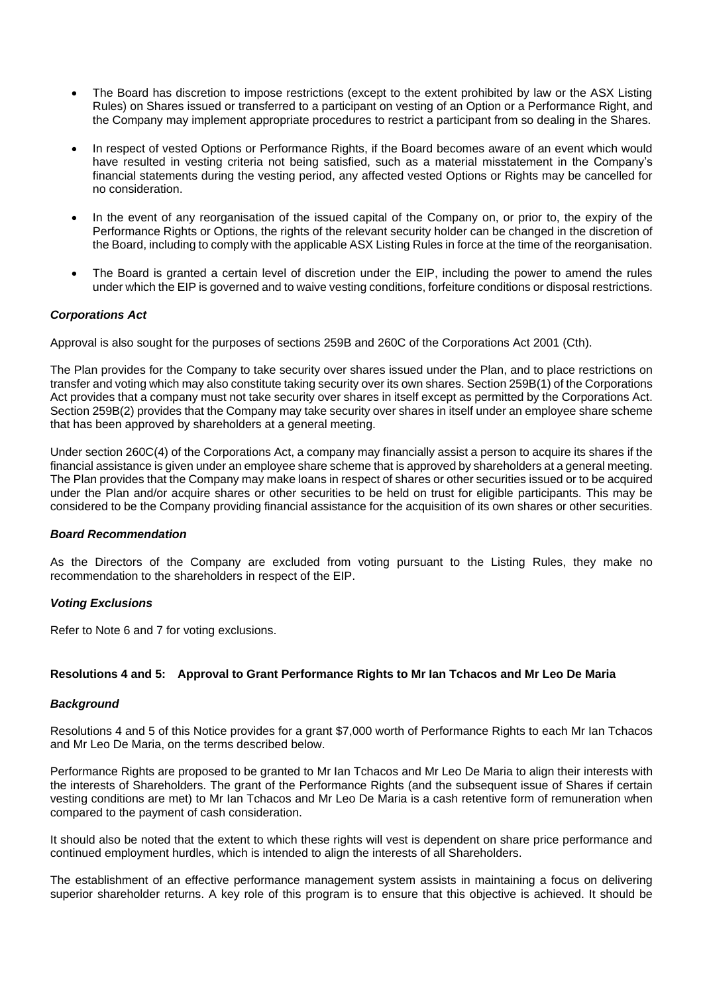- The Board has discretion to impose restrictions (except to the extent prohibited by law or the ASX Listing Rules) on Shares issued or transferred to a participant on vesting of an Option or a Performance Right, and the Company may implement appropriate procedures to restrict a participant from so dealing in the Shares.
- In respect of vested Options or Performance Rights, if the Board becomes aware of an event which would have resulted in vesting criteria not being satisfied, such as a material misstatement in the Company's financial statements during the vesting period, any affected vested Options or Rights may be cancelled for no consideration.
- In the event of any reorganisation of the issued capital of the Company on, or prior to, the expiry of the Performance Rights or Options, the rights of the relevant security holder can be changed in the discretion of the Board, including to comply with the applicable ASX Listing Rules in force at the time of the reorganisation.
- The Board is granted a certain level of discretion under the EIP, including the power to amend the rules under which the EIP is governed and to waive vesting conditions, forfeiture conditions or disposal restrictions.

#### *Corporations Act*

Approval is also sought for the purposes of sections 259B and 260C of the Corporations Act 2001 (Cth).

The Plan provides for the Company to take security over shares issued under the Plan, and to place restrictions on transfer and voting which may also constitute taking security over its own shares. Section 259B(1) of the Corporations Act provides that a company must not take security over shares in itself except as permitted by the Corporations Act. Section 259B(2) provides that the Company may take security over shares in itself under an employee share scheme that has been approved by shareholders at a general meeting.

Under section 260C(4) of the Corporations Act, a company may financially assist a person to acquire its shares if the financial assistance is given under an employee share scheme that is approved by shareholders at a general meeting. The Plan provides that the Company may make loans in respect of shares or other securities issued or to be acquired under the Plan and/or acquire shares or other securities to be held on trust for eligible participants. This may be considered to be the Company providing financial assistance for the acquisition of its own shares or other securities.

#### *Board Recommendation*

As the Directors of the Company are excluded from voting pursuant to the Listing Rules, they make no recommendation to the shareholders in respect of the EIP.

#### *Voting Exclusions*

Refer to Note 6 and 7 for voting exclusions.

#### **Resolutions 4 and 5: Approval to Grant Performance Rights to Mr Ian Tchacos and Mr Leo De Maria**

#### *Background*

Resolutions 4 and 5 of this Notice provides for a grant \$7,000 worth of Performance Rights to each Mr Ian Tchacos and Mr Leo De Maria, on the terms described below.

Performance Rights are proposed to be granted to Mr Ian Tchacos and Mr Leo De Maria to align their interests with the interests of Shareholders. The grant of the Performance Rights (and the subsequent issue of Shares if certain vesting conditions are met) to Mr Ian Tchacos and Mr Leo De Maria is a cash retentive form of remuneration when compared to the payment of cash consideration.

It should also be noted that the extent to which these rights will vest is dependent on share price performance and continued employment hurdles, which is intended to align the interests of all Shareholders.

The establishment of an effective performance management system assists in maintaining a focus on delivering superior shareholder returns. A key role of this program is to ensure that this objective is achieved. It should be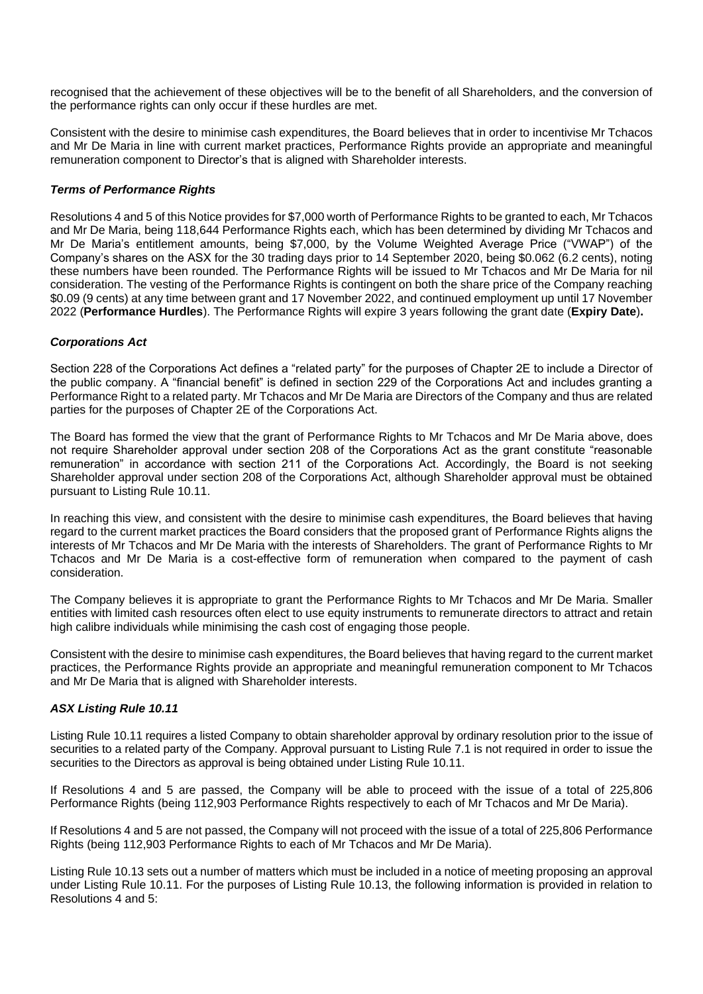recognised that the achievement of these objectives will be to the benefit of all Shareholders, and the conversion of the performance rights can only occur if these hurdles are met.

Consistent with the desire to minimise cash expenditures, the Board believes that in order to incentivise Mr Tchacos and Mr De Maria in line with current market practices, Performance Rights provide an appropriate and meaningful remuneration component to Director's that is aligned with Shareholder interests.

#### *Terms of Performance Rights*

Resolutions 4 and 5 of this Notice provides for \$7,000 worth of Performance Rights to be granted to each, Mr Tchacos and Mr De Maria, being 118,644 Performance Rights each, which has been determined by dividing Mr Tchacos and Mr De Maria's entitlement amounts, being \$7,000, by the Volume Weighted Average Price ("VWAP") of the Company's shares on the ASX for the 30 trading days prior to 14 September 2020, being \$0.062 (6.2 cents), noting these numbers have been rounded. The Performance Rights will be issued to Mr Tchacos and Mr De Maria for nil consideration. The vesting of the Performance Rights is contingent on both the share price of the Company reaching \$0.09 (9 cents) at any time between grant and 17 November 2022, and continued employment up until 17 November 2022 (**Performance Hurdles**). The Performance Rights will expire 3 years following the grant date (**Expiry Date**)**.**

#### *Corporations Act*

Section 228 of the Corporations Act defines a "related party" for the purposes of Chapter 2E to include a Director of the public company. A "financial benefit" is defined in section 229 of the Corporations Act and includes granting a Performance Right to a related party. Mr Tchacos and Mr De Maria are Directors of the Company and thus are related parties for the purposes of Chapter 2E of the Corporations Act.

The Board has formed the view that the grant of Performance Rights to Mr Tchacos and Mr De Maria above, does not require Shareholder approval under section 208 of the Corporations Act as the grant constitute "reasonable remuneration" in accordance with section 211 of the Corporations Act. Accordingly, the Board is not seeking Shareholder approval under section 208 of the Corporations Act, although Shareholder approval must be obtained pursuant to Listing Rule 10.11.

In reaching this view, and consistent with the desire to minimise cash expenditures, the Board believes that having regard to the current market practices the Board considers that the proposed grant of Performance Rights aligns the interests of Mr Tchacos and Mr De Maria with the interests of Shareholders. The grant of Performance Rights to Mr Tchacos and Mr De Maria is a cost-effective form of remuneration when compared to the payment of cash consideration.

The Company believes it is appropriate to grant the Performance Rights to Mr Tchacos and Mr De Maria. Smaller entities with limited cash resources often elect to use equity instruments to remunerate directors to attract and retain high calibre individuals while minimising the cash cost of engaging those people.

Consistent with the desire to minimise cash expenditures, the Board believes that having regard to the current market practices, the Performance Rights provide an appropriate and meaningful remuneration component to Mr Tchacos and Mr De Maria that is aligned with Shareholder interests.

#### *ASX Listing Rule 10.11*

Listing Rule 10.11 requires a listed Company to obtain shareholder approval by ordinary resolution prior to the issue of securities to a related party of the Company. Approval pursuant to Listing Rule 7.1 is not required in order to issue the securities to the Directors as approval is being obtained under Listing Rule 10.11.

If Resolutions 4 and 5 are passed, the Company will be able to proceed with the issue of a total of 225,806 Performance Rights (being 112,903 Performance Rights respectively to each of Mr Tchacos and Mr De Maria).

If Resolutions 4 and 5 are not passed, the Company will not proceed with the issue of a total of 225,806 Performance Rights (being 112,903 Performance Rights to each of Mr Tchacos and Mr De Maria).

Listing Rule 10.13 sets out a number of matters which must be included in a notice of meeting proposing an approval under Listing Rule 10.11. For the purposes of Listing Rule 10.13, the following information is provided in relation to Resolutions 4 and 5: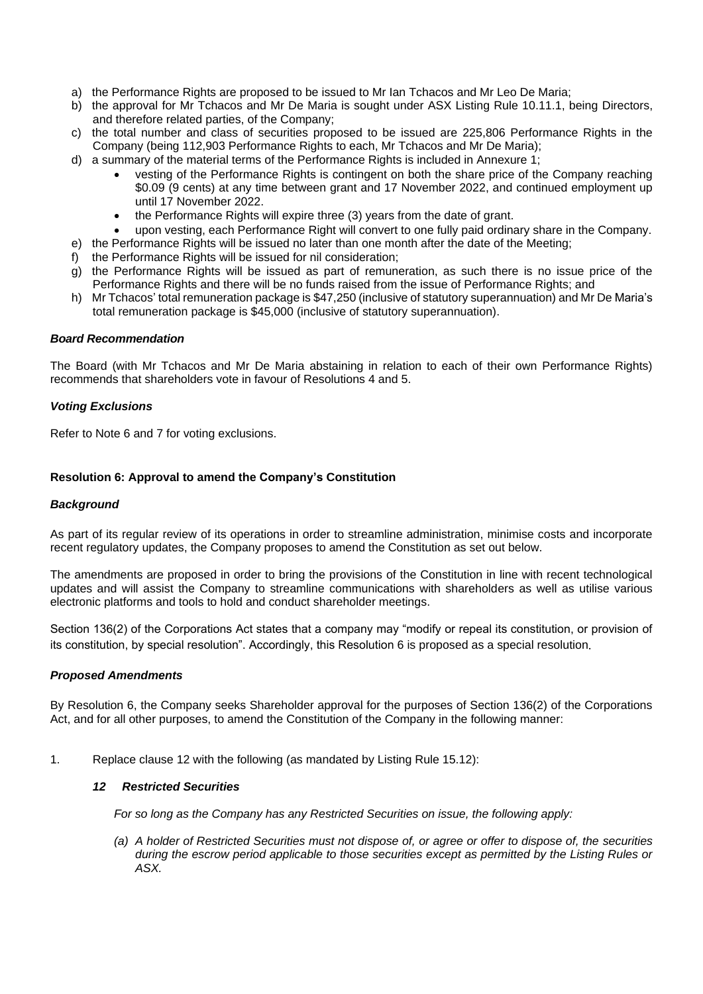- a) the Performance Rights are proposed to be issued to Mr Ian Tchacos and Mr Leo De Maria;
- b) the approval for Mr Tchacos and Mr De Maria is sought under ASX Listing Rule 10.11.1, being Directors, and therefore related parties, of the Company;
- c) the total number and class of securities proposed to be issued are 225,806 Performance Rights in the Company (being 112,903 Performance Rights to each, Mr Tchacos and Mr De Maria);
- d) a summary of the material terms of the Performance Rights is included in Annexure 1;
	- vesting of the Performance Rights is contingent on both the share price of the Company reaching \$0.09 (9 cents) at any time between grant and 17 November 2022, and continued employment up until 17 November 2022.
	- the Performance Rights will expire three (3) years from the date of grant.
	- upon vesting, each Performance Right will convert to one fully paid ordinary share in the Company.
- e) the Performance Rights will be issued no later than one month after the date of the Meeting;
- f) the Performance Rights will be issued for nil consideration;
- g) the Performance Rights will be issued as part of remuneration, as such there is no issue price of the Performance Rights and there will be no funds raised from the issue of Performance Rights; and
- h) Mr Tchacos' total remuneration package is \$47,250 (inclusive of statutory superannuation) and Mr De Maria's total remuneration package is \$45,000 (inclusive of statutory superannuation).

#### *Board Recommendation*

The Board (with Mr Tchacos and Mr De Maria abstaining in relation to each of their own Performance Rights) recommends that shareholders vote in favour of Resolutions 4 and 5.

#### *Voting Exclusions*

Refer to Note 6 and 7 for voting exclusions.

#### **Resolution 6: Approval to amend the Company's Constitution**

#### *Background*

As part of its regular review of its operations in order to streamline administration, minimise costs and incorporate recent regulatory updates, the Company proposes to amend the Constitution as set out below.

The amendments are proposed in order to bring the provisions of the Constitution in line with recent technological updates and will assist the Company to streamline communications with shareholders as well as utilise various electronic platforms and tools to hold and conduct shareholder meetings.

Section 136(2) of the Corporations Act states that a company may "modify or repeal its constitution, or provision of its constitution, by special resolution". Accordingly, this Resolution 6 is proposed as a special resolution

#### *Proposed Amendments*

By Resolution 6, the Company seeks Shareholder approval for the purposes of Section 136(2) of the Corporations Act, and for all other purposes, to amend the Constitution of the Company in the following manner:

1. Replace clause 12 with the following (as mandated by Listing Rule 15.12):

#### *12 Restricted Securities*

*For so long as the Company has any Restricted Securities on issue, the following apply:*

*(a) A holder of Restricted Securities must not dispose of, or agree or offer to dispose of, the securities during the escrow period applicable to those securities except as permitted by the Listing Rules or ASX.*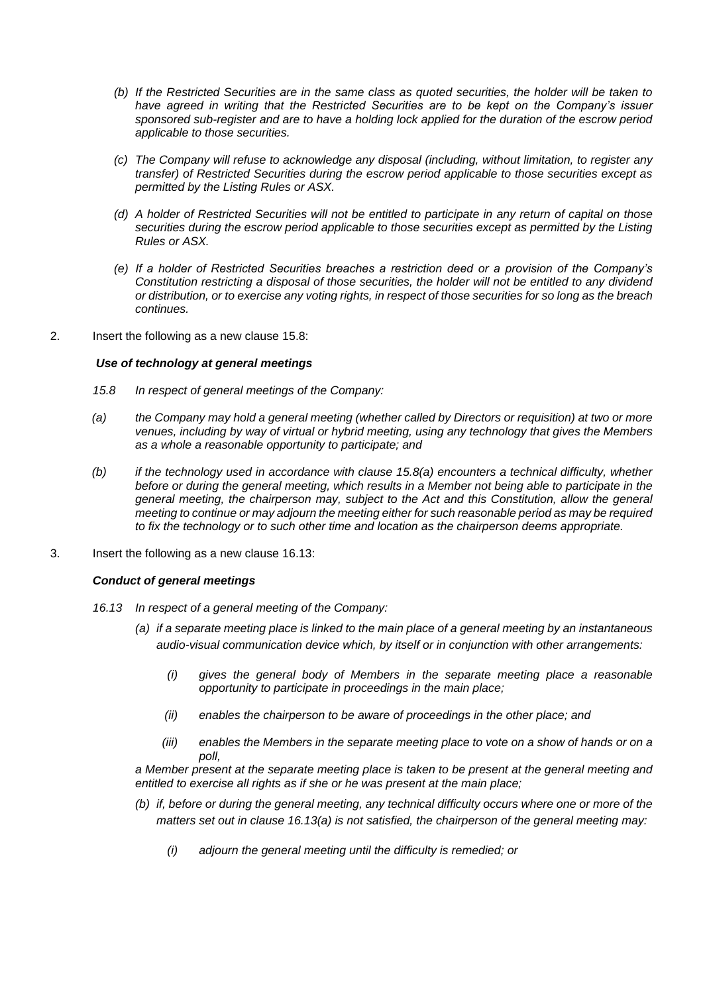- *(b) If the Restricted Securities are in the same class as quoted securities, the holder will be taken to have agreed in writing that the Restricted Securities are to be kept on the Company's issuer sponsored sub-register and are to have a holding lock applied for the duration of the escrow period applicable to those securities.*
- *(c) The Company will refuse to acknowledge any disposal (including, without limitation, to register any transfer) of Restricted Securities during the escrow period applicable to those securities except as permitted by the Listing Rules or ASX.*
- *(d) A holder of Restricted Securities will not be entitled to participate in any return of capital on those securities during the escrow period applicable to those securities except as permitted by the Listing Rules or ASX.*
- *(e) If a holder of Restricted Securities breaches a restriction deed or a provision of the Company's Constitution restricting a disposal of those securities, the holder will not be entitled to any dividend or distribution, or to exercise any voting rights, in respect of those securities for so long as the breach continues.*
- 2. Insert the following as a new clause 15.8:

#### *Use of technology at general meetings*

- *15.8 In respect of general meetings of the Company:*
- *(a) the Company may hold a general meeting (whether called by Directors or requisition) at two or more venues, including by way of virtual or hybrid meeting, using any technology that gives the Members as a whole a reasonable opportunity to participate; and*
- *(b) if the technology used in accordance with clause 15.8(a) encounters a technical difficulty, whether before or during the general meeting, which results in a Member not being able to participate in the general meeting, the chairperson may, subject to the Act and this Constitution, allow the general meeting to continue or may adjourn the meeting either for such reasonable period as may be required to fix the technology or to such other time and location as the chairperson deems appropriate.*
- 3. Insert the following as a new clause 16.13:

#### *Conduct of general meetings*

- *16.13 In respect of a general meeting of the Company:*
	- *(a) if a separate meeting place is linked to the main place of a general meeting by an instantaneous audio-visual communication device which, by itself or in conjunction with other arrangements:*
		- *(i) gives the general body of Members in the separate meeting place a reasonable opportunity to participate in proceedings in the main place;*
		- *(ii) enables the chairperson to be aware of proceedings in the other place; and*
		- *(iii) enables the Members in the separate meeting place to vote on a show of hands or on a poll,*

*a Member present at the separate meeting place is taken to be present at the general meeting and entitled to exercise all rights as if she or he was present at the main place;*

- *(b) if, before or during the general meeting, any technical difficulty occurs where one or more of the matters set out in clause 16.13(a) is not satisfied, the chairperson of the general meeting may:*
	- *(i) adjourn the general meeting until the difficulty is remedied; or*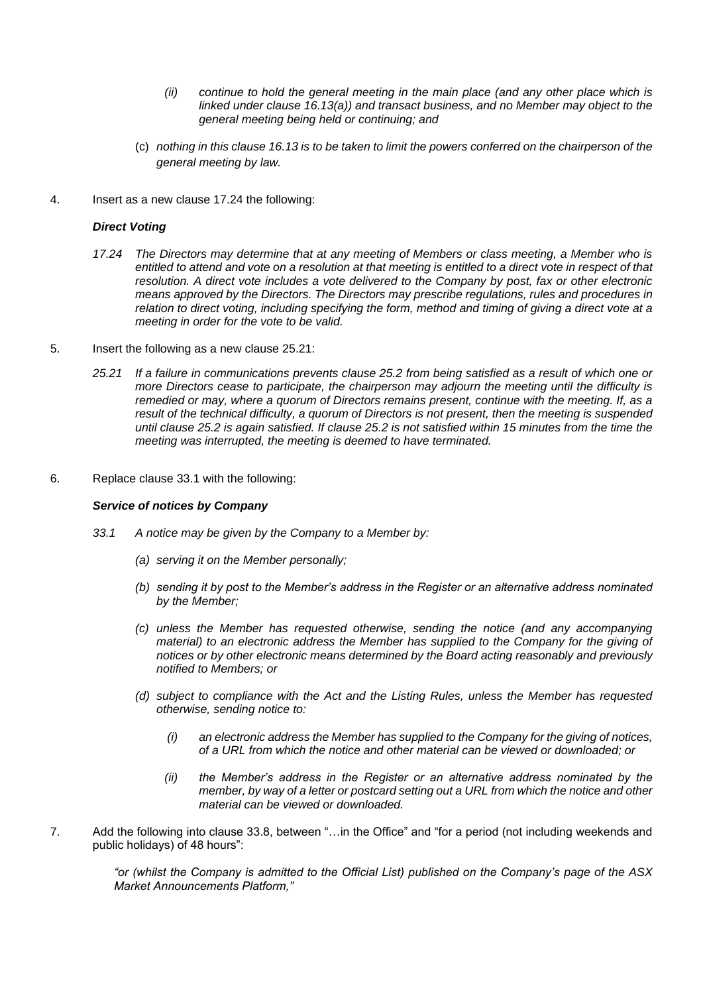- *(ii) continue to hold the general meeting in the main place (and any other place which is linked under clause 16.13(a)) and transact business, and no Member may object to the general meeting being held or continuing; and*
- (c) *nothing in this clause 16.13 is to be taken to limit the powers conferred on the chairperson of the general meeting by law.*
- 4. Insert as a new clause 17.24 the following:

#### *Direct Voting*

- *17.24 The Directors may determine that at any meeting of Members or class meeting, a Member who is*  entitled to attend and vote on a resolution at that meeting is entitled to a direct vote in respect of that *resolution. A direct vote includes a vote delivered to the Company by post, fax or other electronic means approved by the Directors. The Directors may prescribe regulations, rules and procedures in relation to direct voting, including specifying the form, method and timing of giving a direct vote at a meeting in order for the vote to be valid.*
- 5. Insert the following as a new clause 25.21:
	- *25.21 If a failure in communications prevents clause 25.2 from being satisfied as a result of which one or more Directors cease to participate, the chairperson may adjourn the meeting until the difficulty is remedied or may, where a quorum of Directors remains present, continue with the meeting. If, as a result of the technical difficulty, a quorum of Directors is not present, then the meeting is suspended until clause 25.2 is again satisfied. If clause 25.2 is not satisfied within 15 minutes from the time the meeting was interrupted, the meeting is deemed to have terminated.*
- 6. Replace clause 33.1 with the following:

#### *Service of notices by Company*

- *33.1 A notice may be given by the Company to a Member by:* 
	- *(a) serving it on the Member personally;*
	- *(b) sending it by post to the Member's address in the Register or an alternative address nominated by the Member;*
	- *(c) unless the Member has requested otherwise, sending the notice (and any accompanying material) to an electronic address the Member has supplied to the Company for the giving of notices or by other electronic means determined by the Board acting reasonably and previously notified to Members; or*
	- *(d) subject to compliance with the Act and the Listing Rules, unless the Member has requested otherwise, sending notice to:* 
		- *(i) an electronic address the Member has supplied to the Company for the giving of notices, of a URL from which the notice and other material can be viewed or downloaded; or*
		- *(ii) the Member's address in the Register or an alternative address nominated by the member, by way of a letter or postcard setting out a URL from which the notice and other material can be viewed or downloaded.*
- 7. Add the following into clause 33.8, between "…in the Office" and "for a period (not including weekends and public holidays) of 48 hours":

*"or (whilst the Company is admitted to the Official List) published on the Company's page of the ASX Market Announcements Platform,"*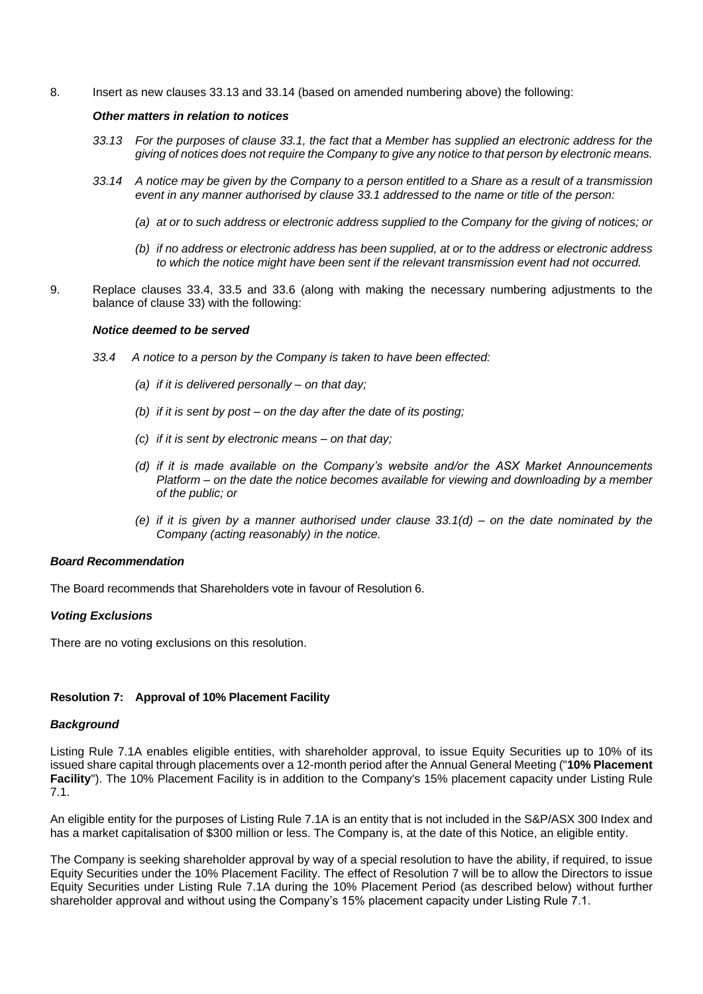8. Insert as new clauses 33.13 and 33.14 (based on amended numbering above) the following:

#### *Other matters in relation to notices*

- *33.13 For the purposes of clause 33.1, the fact that a Member has supplied an electronic address for the giving of notices does not require the Company to give any notice to that person by electronic means.*
- *33.14 A notice may be given by the Company to a person entitled to a Share as a result of a transmission event in any manner authorised by clause 33.1 addressed to the name or title of the person:*
	- *(a) at or to such address or electronic address supplied to the Company for the giving of notices; or*
	- *(b) if no address or electronic address has been supplied, at or to the address or electronic address to which the notice might have been sent if the relevant transmission event had not occurred.*
- 9. Replace clauses 33.4, 33.5 and 33.6 (along with making the necessary numbering adjustments to the balance of clause 33) with the following:

#### *Notice deemed to be served*

- *33.4 A notice to a person by the Company is taken to have been effected:*
	- *(a) if it is delivered personally – on that day;*
	- *(b) if it is sent by post – on the day after the date of its posting;*
	- *(c) if it is sent by electronic means – on that day;*
	- *(d) if it is made available on the Company's website and/or the ASX Market Announcements Platform – on the date the notice becomes available for viewing and downloading by a member of the public; or*
	- *(e) if it is given by a manner authorised under clause 33.1(d) – on the date nominated by the Company (acting reasonably) in the notice.*

#### *Board Recommendation*

The Board recommends that Shareholders vote in favour of Resolution 6.

#### *Voting Exclusions*

There are no voting exclusions on this resolution.

#### **Resolution 7: Approval of 10% Placement Facility**

#### *Background*

Listing Rule 7.1A enables eligible entities, with shareholder approval, to issue Equity Securities up to 10% of its issued share capital through placements over a 12-month period after the Annual General Meeting ("**10% Placement Facility**"). The 10% Placement Facility is in addition to the Company's 15% placement capacity under Listing Rule 7.1.

An eligible entity for the purposes of Listing Rule 7.1A is an entity that is not included in the S&P/ASX 300 Index and has a market capitalisation of \$300 million or less. The Company is, at the date of this Notice, an eligible entity.

The Company is seeking shareholder approval by way of a special resolution to have the ability, if required, to issue Equity Securities under the 10% Placement Facility. The effect of Resolution 7 will be to allow the Directors to issue Equity Securities under Listing Rule 7.1A during the 10% Placement Period (as described below) without further shareholder approval and without using the Company's 15% placement capacity under Listing Rule 7.1.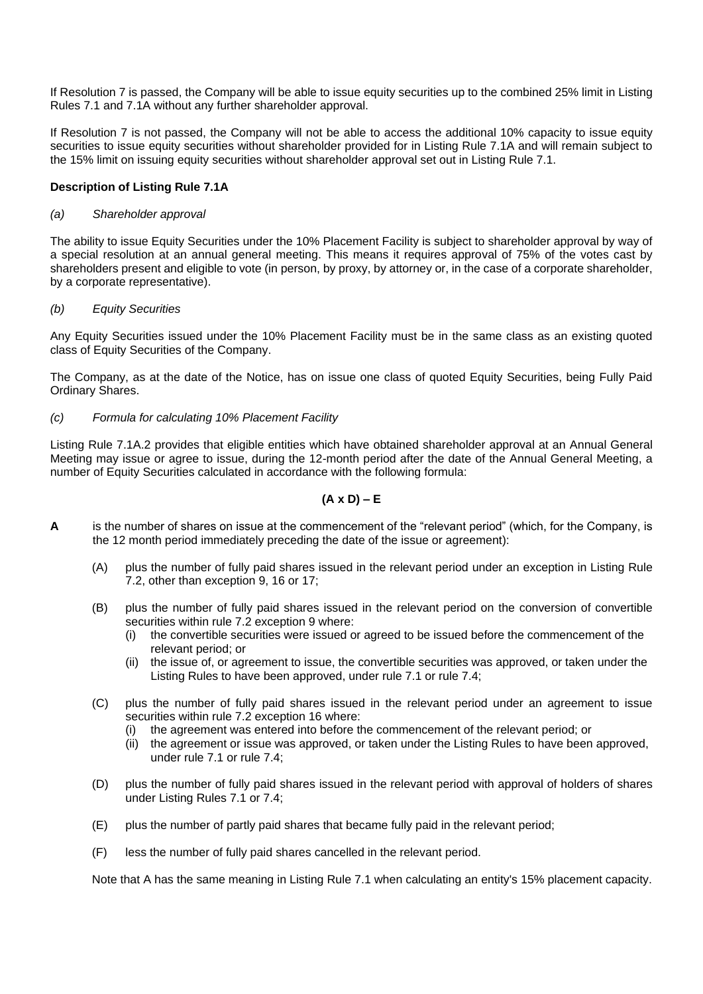If Resolution 7 is passed, the Company will be able to issue equity securities up to the combined 25% limit in Listing Rules 7.1 and 7.1A without any further shareholder approval.

If Resolution 7 is not passed, the Company will not be able to access the additional 10% capacity to issue equity securities to issue equity securities without shareholder provided for in Listing Rule 7.1A and will remain subject to the 15% limit on issuing equity securities without shareholder approval set out in Listing Rule 7.1.

#### **Description of Listing Rule 7.1A**

#### *(a) Shareholder approval*

The ability to issue Equity Securities under the 10% Placement Facility is subject to shareholder approval by way of a special resolution at an annual general meeting. This means it requires approval of 75% of the votes cast by shareholders present and eligible to vote (in person, by proxy, by attorney or, in the case of a corporate shareholder, by a corporate representative).

#### *(b) Equity Securities*

Any Equity Securities issued under the 10% Placement Facility must be in the same class as an existing quoted class of Equity Securities of the Company.

The Company, as at the date of the Notice, has on issue one class of quoted Equity Securities, being Fully Paid Ordinary Shares.

#### *(c) Formula for calculating 10% Placement Facility*

Listing Rule 7.1A.2 provides that eligible entities which have obtained shareholder approval at an Annual General Meeting may issue or agree to issue, during the 12-month period after the date of the Annual General Meeting, a number of Equity Securities calculated in accordance with the following formula:

#### **(A x D) – E**

- **A** is the number of shares on issue at the commencement of the "relevant period" (which, for the Company, is the 12 month period immediately preceding the date of the issue or agreement):
	- (A) plus the number of fully paid shares issued in the relevant period under an exception in Listing Rule 7.2, other than exception 9, 16 or 17;
	- (B) plus the number of fully paid shares issued in the relevant period on the conversion of convertible securities within rule 7.2 exception 9 where:
		- (i) the convertible securities were issued or agreed to be issued before the commencement of the relevant period; or
		- (ii) the issue of, or agreement to issue, the convertible securities was approved, or taken under the Listing Rules to have been approved, under rule 7.1 or rule 7.4;
	- (C) plus the number of fully paid shares issued in the relevant period under an agreement to issue securities within rule 7.2 exception 16 where:
		- (i) the agreement was entered into before the commencement of the relevant period; or
		- (ii) the agreement or issue was approved, or taken under the Listing Rules to have been approved, under rule 7.1 or rule 7.4;
	- (D) plus the number of fully paid shares issued in the relevant period with approval of holders of shares under Listing Rules 7.1 or 7.4;
	- (E) plus the number of partly paid shares that became fully paid in the relevant period;
	- (F) less the number of fully paid shares cancelled in the relevant period.

Note that A has the same meaning in Listing Rule 7.1 when calculating an entity's 15% placement capacity.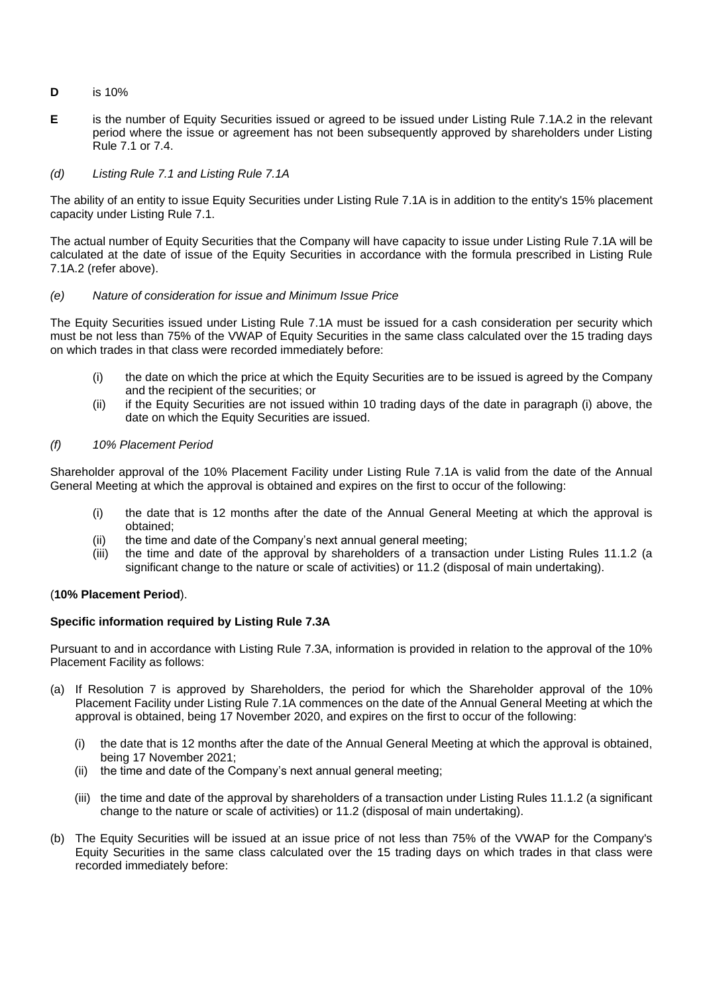- **D** is 10%
- **E** is the number of Equity Securities issued or agreed to be issued under Listing Rule 7.1A.2 in the relevant period where the issue or agreement has not been subsequently approved by shareholders under Listing Rule 7.1 or 7.4.

#### *(d) Listing Rule 7.1 and Listing Rule 7.1A*

The ability of an entity to issue Equity Securities under Listing Rule 7.1A is in addition to the entity's 15% placement capacity under Listing Rule 7.1.

The actual number of Equity Securities that the Company will have capacity to issue under Listing Rule 7.1A will be calculated at the date of issue of the Equity Securities in accordance with the formula prescribed in Listing Rule 7.1A.2 (refer above).

#### *(e) Nature of consideration for issue and Minimum Issue Price*

The Equity Securities issued under Listing Rule 7.1A must be issued for a cash consideration per security which must be not less than 75% of the VWAP of Equity Securities in the same class calculated over the 15 trading days on which trades in that class were recorded immediately before:

- (i) the date on which the price at which the Equity Securities are to be issued is agreed by the Company and the recipient of the securities; or
- (ii) if the Equity Securities are not issued within 10 trading days of the date in paragraph (i) above, the date on which the Equity Securities are issued.

#### *(f) 10% Placement Period*

Shareholder approval of the 10% Placement Facility under Listing Rule 7.1A is valid from the date of the Annual General Meeting at which the approval is obtained and expires on the first to occur of the following:

- (i) the date that is 12 months after the date of the Annual General Meeting at which the approval is obtained;
- (ii) the time and date of the Company's next annual general meeting;
- (iii) the time and date of the approval by shareholders of a transaction under Listing Rules 11.1.2 (a significant change to the nature or scale of activities) or 11.2 (disposal of main undertaking).

#### (**10% Placement Period**).

#### **Specific information required by Listing Rule 7.3A**

Pursuant to and in accordance with Listing Rule 7.3A, information is provided in relation to the approval of the 10% Placement Facility as follows:

- (a) If Resolution 7 is approved by Shareholders, the period for which the Shareholder approval of the 10% Placement Facility under Listing Rule 7.1A commences on the date of the Annual General Meeting at which the approval is obtained, being 17 November 2020, and expires on the first to occur of the following:
	- (i) the date that is 12 months after the date of the Annual General Meeting at which the approval is obtained, being 17 November 2021;
	- (ii) the time and date of the Company's next annual general meeting;
	- (iii) the time and date of the approval by shareholders of a transaction under Listing Rules 11.1.2 (a significant change to the nature or scale of activities) or 11.2 (disposal of main undertaking).
- (b) The Equity Securities will be issued at an issue price of not less than 75% of the VWAP for the Company's Equity Securities in the same class calculated over the 15 trading days on which trades in that class were recorded immediately before: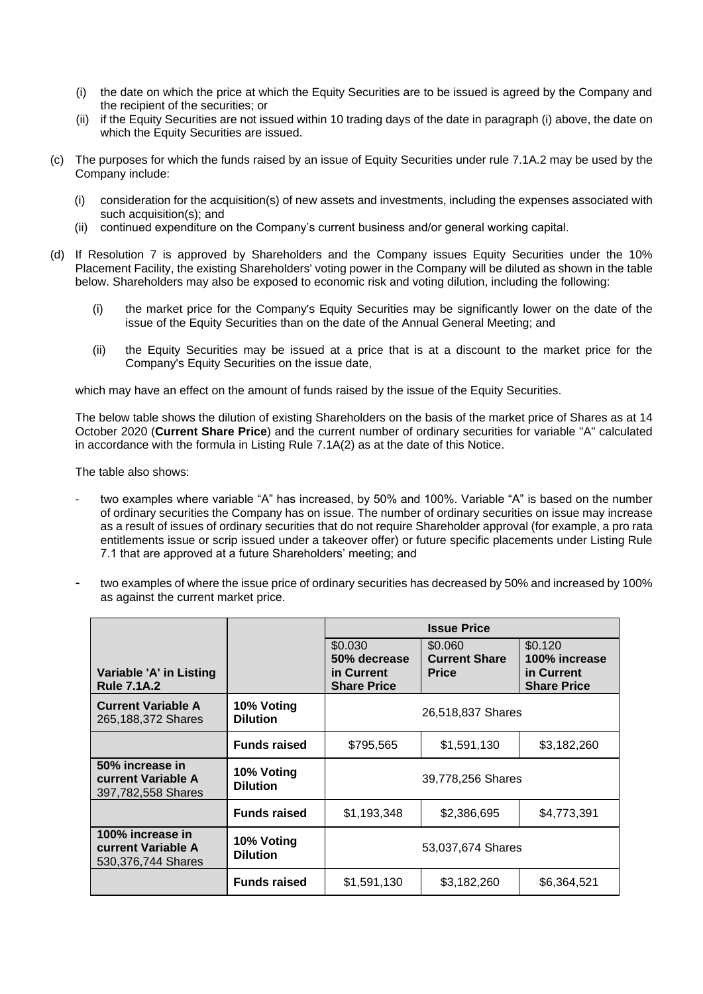- (i) the date on which the price at which the Equity Securities are to be issued is agreed by the Company and the recipient of the securities; or
- (ii) if the Equity Securities are not issued within 10 trading days of the date in paragraph (i) above, the date on which the Equity Securities are issued.
- (c) The purposes for which the funds raised by an issue of Equity Securities under rule 7.1A.2 may be used by the Company include:
	- (i) consideration for the acquisition(s) of new assets and investments, including the expenses associated with such acquisition(s); and
	- (ii) continued expenditure on the Company's current business and/or general working capital.
- (d) If Resolution 7 is approved by Shareholders and the Company issues Equity Securities under the 10% Placement Facility, the existing Shareholders' voting power in the Company will be diluted as shown in the table below. Shareholders may also be exposed to economic risk and voting dilution, including the following:
	- (i) the market price for the Company's Equity Securities may be significantly lower on the date of the issue of the Equity Securities than on the date of the Annual General Meeting; and
	- (ii) the Equity Securities may be issued at a price that is at a discount to the market price for the Company's Equity Securities on the issue date,

which may have an effect on the amount of funds raised by the issue of the Equity Securities.

The below table shows the dilution of existing Shareholders on the basis of the market price of Shares as at 14 October 2020 (**Current Share Price**) and the current number of ordinary securities for variable "A" calculated in accordance with the formula in Listing Rule 7.1A(2) as at the date of this Notice.

The table also shows:

- two examples where variable "A" has increased, by 50% and 100%. Variable "A" is based on the number of ordinary securities the Company has on issue. The number of ordinary securities on issue may increase as a result of issues of ordinary securities that do not require Shareholder approval (for example, a pro rata entitlements issue or scrip issued under a takeover offer) or future specific placements under Listing Rule 7.1 that are approved at a future Shareholders' meeting; and
- two examples of where the issue price of ordinary securities has decreased by 50% and increased by 100% as against the current market price.

|                                                                    |                               | <b>Issue Price</b>                                          |                                                 |                                                              |
|--------------------------------------------------------------------|-------------------------------|-------------------------------------------------------------|-------------------------------------------------|--------------------------------------------------------------|
| Variable 'A' in Listing<br><b>Rule 7.1A.2</b>                      |                               | \$0.030<br>50% decrease<br>in Current<br><b>Share Price</b> | \$0.060<br><b>Current Share</b><br><b>Price</b> | \$0.120<br>100% increase<br>in Current<br><b>Share Price</b> |
| <b>Current Variable A</b><br>265,188,372 Shares                    | 10% Voting<br><b>Dilution</b> | 26,518,837 Shares                                           |                                                 |                                                              |
|                                                                    | <b>Funds raised</b>           | \$795,565                                                   | \$1,591,130                                     | \$3,182,260                                                  |
| 50% increase in<br><b>current Variable A</b><br>397,782,558 Shares | 10% Voting<br><b>Dilution</b> | 39,778,256 Shares                                           |                                                 |                                                              |
|                                                                    | <b>Funds raised</b>           | \$1,193,348                                                 | \$2,386,695                                     | \$4,773,391                                                  |
| 100% increase in<br>current Variable A<br>530, 376, 744 Shares     | 10% Voting<br><b>Dilution</b> | 53,037,674 Shares                                           |                                                 |                                                              |
|                                                                    | <b>Funds raised</b>           | \$1,591,130                                                 | \$3,182,260                                     | \$6,364,521                                                  |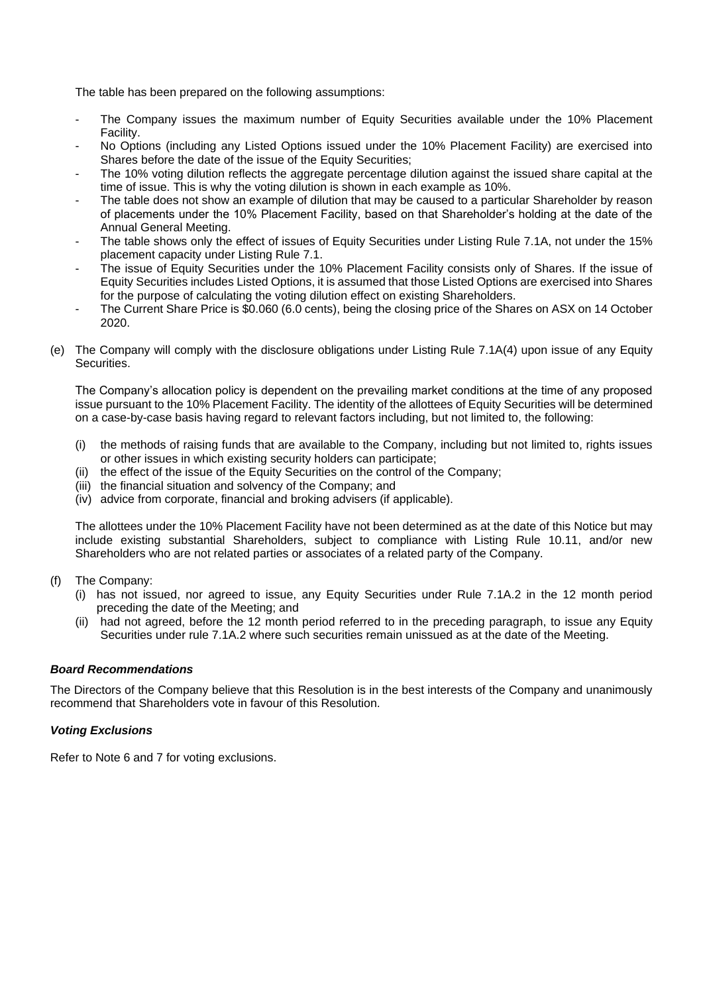The table has been prepared on the following assumptions:

- The Company issues the maximum number of Equity Securities available under the 10% Placement Facility.
- No Options (including any Listed Options issued under the 10% Placement Facility) are exercised into Shares before the date of the issue of the Equity Securities:
- The 10% voting dilution reflects the aggregate percentage dilution against the issued share capital at the time of issue. This is why the voting dilution is shown in each example as 10%.
- The table does not show an example of dilution that may be caused to a particular Shareholder by reason of placements under the 10% Placement Facility, based on that Shareholder's holding at the date of the Annual General Meeting.
- The table shows only the effect of issues of Equity Securities under Listing Rule 7.1A, not under the 15% placement capacity under Listing Rule 7.1.
- The issue of Equity Securities under the 10% Placement Facility consists only of Shares. If the issue of Equity Securities includes Listed Options, it is assumed that those Listed Options are exercised into Shares for the purpose of calculating the voting dilution effect on existing Shareholders.
- The Current Share Price is \$0.060 (6.0 cents), being the closing price of the Shares on ASX on 14 October 2020.
- (e) The Company will comply with the disclosure obligations under Listing Rule 7.1A(4) upon issue of any Equity Securities.

The Company's allocation policy is dependent on the prevailing market conditions at the time of any proposed issue pursuant to the 10% Placement Facility. The identity of the allottees of Equity Securities will be determined on a case-by-case basis having regard to relevant factors including, but not limited to, the following:

- (i) the methods of raising funds that are available to the Company, including but not limited to, rights issues or other issues in which existing security holders can participate;
- (ii) the effect of the issue of the Equity Securities on the control of the Company;
- (iii) the financial situation and solvency of the Company; and
- (iv) advice from corporate, financial and broking advisers (if applicable).

The allottees under the 10% Placement Facility have not been determined as at the date of this Notice but may include existing substantial Shareholders, subject to compliance with Listing Rule 10.11, and/or new Shareholders who are not related parties or associates of a related party of the Company.

- (f) The Company:
	- (i) has not issued, nor agreed to issue, any Equity Securities under Rule 7.1A.2 in the 12 month period preceding the date of the Meeting; and
	- (ii) had not agreed, before the 12 month period referred to in the preceding paragraph, to issue any Equity Securities under rule 7.1A.2 where such securities remain unissued as at the date of the Meeting.

#### *Board Recommendations*

The Directors of the Company believe that this Resolution is in the best interests of the Company and unanimously recommend that Shareholders vote in favour of this Resolution.

#### *Voting Exclusions*

Refer to Note 6 and 7 for voting exclusions.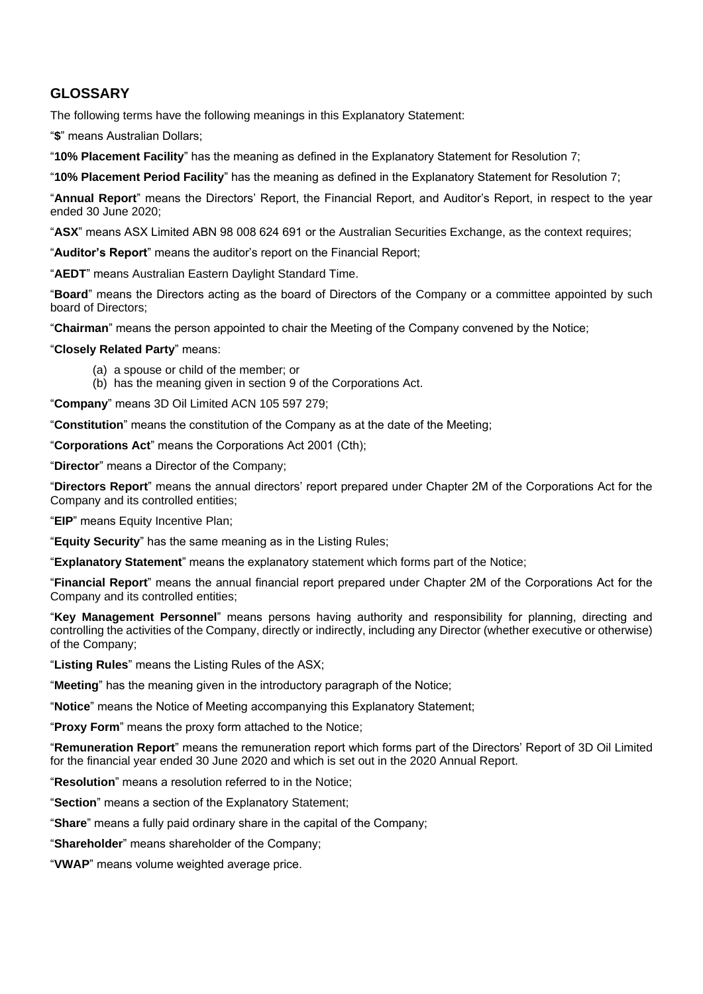#### **GLOSSARY**

The following terms have the following meanings in this Explanatory Statement:

"**\$**" means Australian Dollars;

"**10% Placement Facility**" has the meaning as defined in the Explanatory Statement for Resolution 7;

"**10% Placement Period Facility**" has the meaning as defined in the Explanatory Statement for Resolution 7;

"**Annual Report**" means the Directors' Report, the Financial Report, and Auditor's Report, in respect to the year ended 30 June 2020;

"**ASX**" means ASX Limited ABN 98 008 624 691 or the Australian Securities Exchange, as the context requires;

"**Auditor's Report**" means the auditor's report on the Financial Report;

"**AEDT**" means Australian Eastern Daylight Standard Time.

"**Board**" means the Directors acting as the board of Directors of the Company or a committee appointed by such board of Directors;

"**Chairman**" means the person appointed to chair the Meeting of the Company convened by the Notice;

"**Closely Related Party**" means:

- (a) a spouse or child of the member; or
- (b) has the meaning given in section 9 of the Corporations Act.

"**Company**" means 3D Oil Limited ACN 105 597 279;

"**Constitution**" means the constitution of the Company as at the date of the Meeting;

"**Corporations Act**" means the Corporations Act 2001 (Cth);

"**Director**" means a Director of the Company;

"**Directors Report**" means the annual directors' report prepared under Chapter 2M of the Corporations Act for the Company and its controlled entities;

"**EIP**" means Equity Incentive Plan;

"**Equity Security**" has the same meaning as in the Listing Rules;

"**Explanatory Statement**" means the explanatory statement which forms part of the Notice;

"**Financial Report**" means the annual financial report prepared under Chapter 2M of the Corporations Act for the Company and its controlled entities;

"**Key Management Personnel**" means persons having authority and responsibility for planning, directing and controlling the activities of the Company, directly or indirectly, including any Director (whether executive or otherwise) of the Company;

"**Listing Rules**" means the Listing Rules of the ASX;

"**Meeting**" has the meaning given in the introductory paragraph of the Notice;

"**Notice**" means the Notice of Meeting accompanying this Explanatory Statement;

"**Proxy Form**" means the proxy form attached to the Notice;

"**Remuneration Report**" means the remuneration report which forms part of the Directors' Report of 3D Oil Limited for the financial year ended 30 June 2020 and which is set out in the 2020 Annual Report.

"**Resolution**" means a resolution referred to in the Notice;

"**Section**" means a section of the Explanatory Statement;

"**Share**" means a fully paid ordinary share in the capital of the Company;

"**Shareholder**" means shareholder of the Company;

"**VWAP**" means volume weighted average price.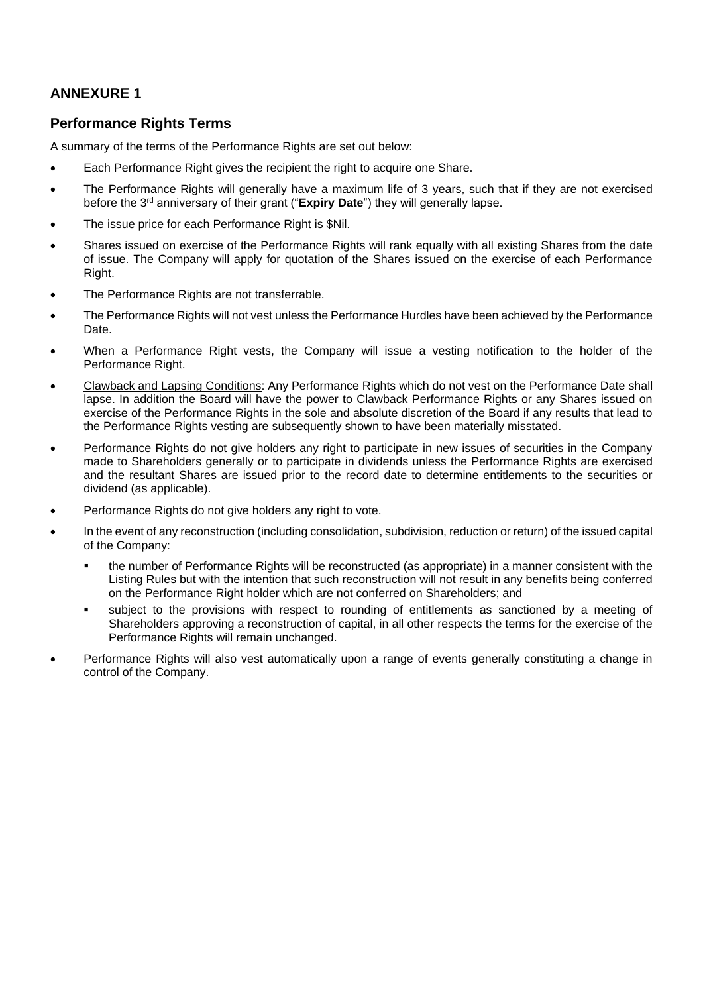### **ANNEXURE 1**

#### **Performance Rights Terms**

A summary of the terms of the Performance Rights are set out below:

- Each Performance Right gives the recipient the right to acquire one Share.
- The Performance Rights will generally have a maximum life of 3 years, such that if they are not exercised before the 3rd anniversary of their grant ("**Expiry Date**") they will generally lapse.
- The issue price for each Performance Right is \$Nil.
- Shares issued on exercise of the Performance Rights will rank equally with all existing Shares from the date of issue. The Company will apply for quotation of the Shares issued on the exercise of each Performance Right.
- The Performance Rights are not transferrable.
- The Performance Rights will not vest unless the Performance Hurdles have been achieved by the Performance Date.
- When a Performance Right vests, the Company will issue a vesting notification to the holder of the Performance Right.
- Clawback and Lapsing Conditions: Any Performance Rights which do not vest on the Performance Date shall lapse. In addition the Board will have the power to Clawback Performance Rights or any Shares issued on exercise of the Performance Rights in the sole and absolute discretion of the Board if any results that lead to the Performance Rights vesting are subsequently shown to have been materially misstated.
- Performance Rights do not give holders any right to participate in new issues of securities in the Company made to Shareholders generally or to participate in dividends unless the Performance Rights are exercised and the resultant Shares are issued prior to the record date to determine entitlements to the securities or dividend (as applicable).
- Performance Rights do not give holders any right to vote.
- In the event of any reconstruction (including consolidation, subdivision, reduction or return) of the issued capital of the Company:
	- the number of Performance Rights will be reconstructed (as appropriate) in a manner consistent with the Listing Rules but with the intention that such reconstruction will not result in any benefits being conferred on the Performance Right holder which are not conferred on Shareholders; and
	- subject to the provisions with respect to rounding of entitlements as sanctioned by a meeting of Shareholders approving a reconstruction of capital, in all other respects the terms for the exercise of the Performance Rights will remain unchanged.
- Performance Rights will also vest automatically upon a range of events generally constituting a change in control of the Company.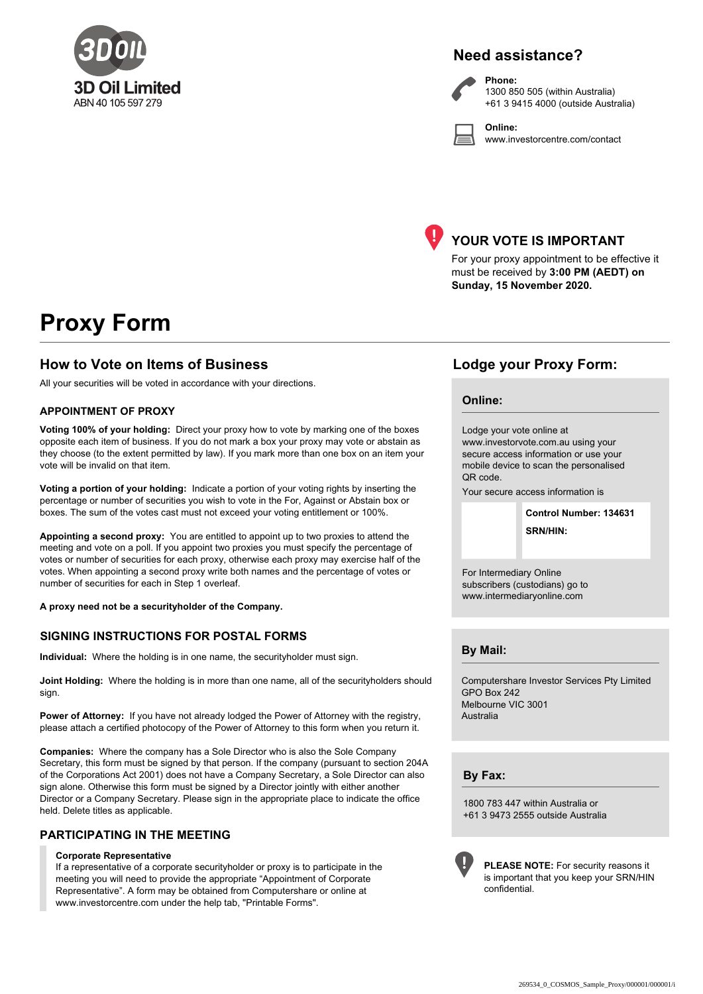

#### **Need assistance?**

**Phone:**

**Online:**



1300 850 505 (within Australia) +61 3 9415 4000 (outside Australia)

www.investorcentre.com/contact



#### **YOUR VOTE IS IMPORTANT**

For your proxy appointment to be effective it must be received by **3:00 PM (AEDT) on Sunday, 15 November 2020.**

## **Proxy Form**

#### **How to Vote on Items of Business Lodge your Proxy Form:**

All your securities will be voted in accordance with your directions.

#### **APPOINTMENT OF PROXY**

**Voting 100% of your holding:** Direct your proxy how to vote by marking one of the boxes opposite each item of business. If you do not mark a box your proxy may vote or abstain as they choose (to the extent permitted by law). If you mark more than one box on an item your vote will be invalid on that item.

**Voting a portion of your holding:** Indicate a portion of your voting rights by inserting the percentage or number of securities you wish to vote in the For, Against or Abstain box or boxes. The sum of the votes cast must not exceed your voting entitlement or 100%.

**Appointing a second proxy:** You are entitled to appoint up to two proxies to attend the meeting and vote on a poll. If you appoint two proxies you must specify the percentage of votes or number of securities for each proxy, otherwise each proxy may exercise half of the votes. When appointing a second proxy write both names and the percentage of votes or number of securities for each in Step 1 overleaf.

**A proxy need not be a securityholder of the Company.**

#### **SIGNING INSTRUCTIONS FOR POSTAL FORMS**

**Individual:** Where the holding is in one name, the securityholder must sign.

**Joint Holding:** Where the holding is in more than one name, all of the securityholders should sign.

Power of Attorney: If you have not already lodged the Power of Attorney with the registry, please attach a certified photocopy of the Power of Attorney to this form when you return it.

**Companies:** Where the company has a Sole Director who is also the Sole Company Secretary, this form must be signed by that person. If the company (pursuant to section 204A of the Corporations Act 2001) does not have a Company Secretary, a Sole Director can also sign alone. Otherwise this form must be signed by a Director jointly with either another Director or a Company Secretary. Please sign in the appropriate place to indicate the office held. Delete titles as applicable.

#### **PARTICIPATING IN THE MEETING**

#### **Corporate Representative**

If a representative of a corporate securityholder or proxy is to participate in the meeting you will need to provide the appropriate "Appointment of Corporate Representative". A form may be obtained from Computershare or online at www.investorcentre.com under the help tab, "Printable Forms".

#### **Online:**

Lodge your vote online at www.investorvote.com.au using your secure access information or use your mobile device to scan the personalised QR code.

Your secure access information is

**SRN/HIN: Control Number: 134631**

For Intermediary Online subscribers (custodians) go to www.intermediaryonline.com

**By Mail:**

Computershare Investor Services Pty Limited GPO Box 242 Melbourne VIC 3001 Australia

**By Fax:**

1800 783 447 within Australia or +61 3 9473 2555 outside Australia



**PLEASE NOTE:** For security reasons it is important that you keep your SRN/HIN confidential.